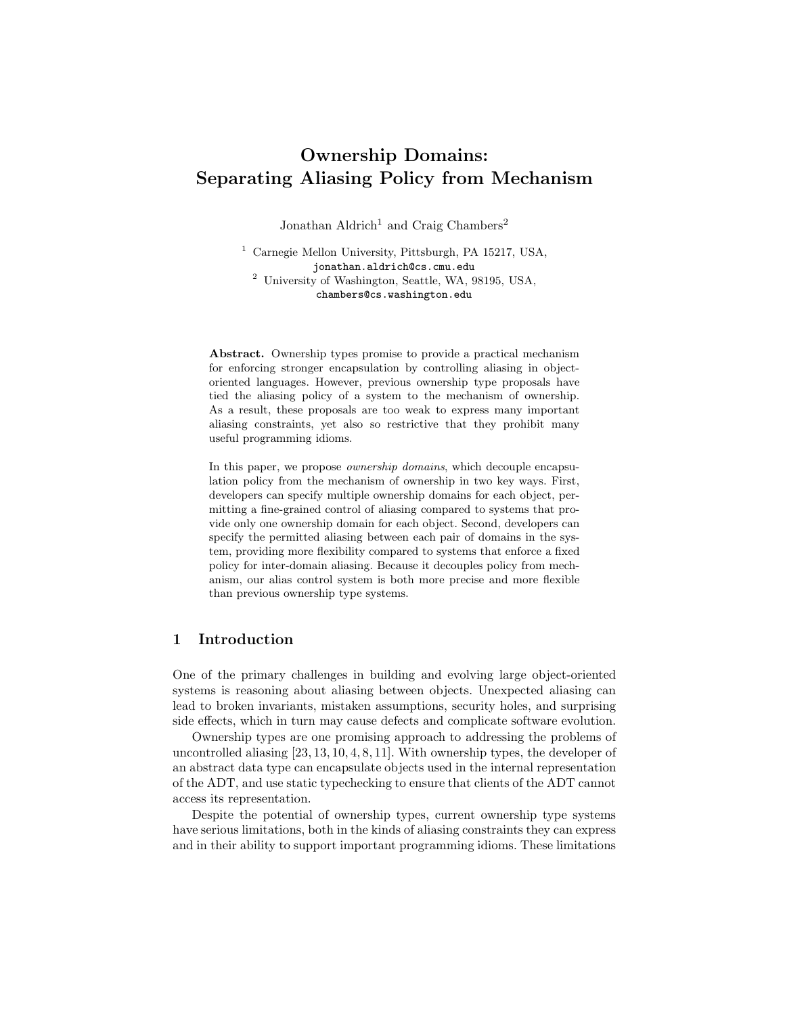# Ownership Domains: Separating Aliasing Policy from Mechanism

Jonathan Aldrich<sup>1</sup> and Craig Chambers<sup>2</sup>

<sup>1</sup> Carnegie Mellon University, Pittsburgh, PA 15217, USA, jonathan.aldrich@cs.cmu.edu <sup>2</sup> University of Washington, Seattle, WA, 98195, USA, chambers@cs.washington.edu

Abstract. Ownership types promise to provide a practical mechanism for enforcing stronger encapsulation by controlling aliasing in objectoriented languages. However, previous ownership type proposals have tied the aliasing policy of a system to the mechanism of ownership. As a result, these proposals are too weak to express many important aliasing constraints, yet also so restrictive that they prohibit many useful programming idioms.

In this paper, we propose *ownership domains*, which decouple encapsulation policy from the mechanism of ownership in two key ways. First, developers can specify multiple ownership domains for each object, permitting a fine-grained control of aliasing compared to systems that provide only one ownership domain for each object. Second, developers can specify the permitted aliasing between each pair of domains in the system, providing more flexibility compared to systems that enforce a fixed policy for inter-domain aliasing. Because it decouples policy from mechanism, our alias control system is both more precise and more flexible than previous ownership type systems.

# 1 Introduction

One of the primary challenges in building and evolving large object-oriented systems is reasoning about aliasing between objects. Unexpected aliasing can lead to broken invariants, mistaken assumptions, security holes, and surprising side effects, which in turn may cause defects and complicate software evolution.

Ownership types are one promising approach to addressing the problems of uncontrolled aliasing [23, 13, 10, 4, 8, 11]. With ownership types, the developer of an abstract data type can encapsulate objects used in the internal representation of the ADT, and use static typechecking to ensure that clients of the ADT cannot access its representation.

Despite the potential of ownership types, current ownership type systems have serious limitations, both in the kinds of aliasing constraints they can express and in their ability to support important programming idioms. These limitations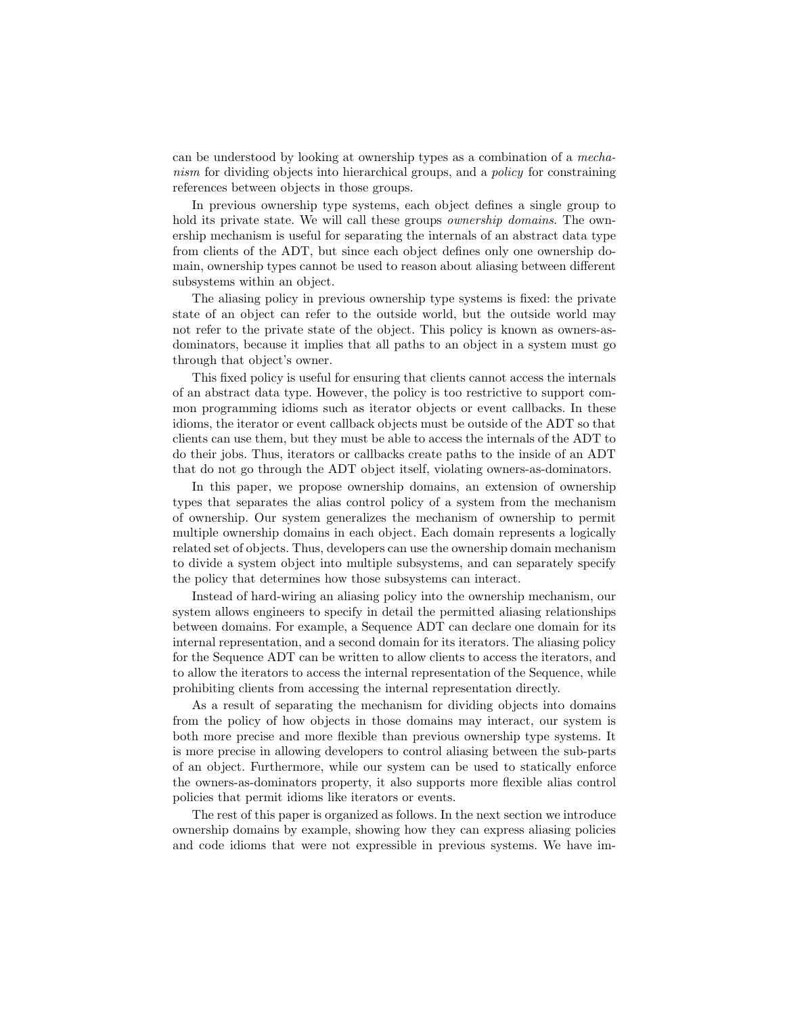can be understood by looking at ownership types as a combination of a mechanism for dividing objects into hierarchical groups, and a policy for constraining references between objects in those groups.

In previous ownership type systems, each object defines a single group to hold its private state. We will call these groups *ownership domains*. The ownership mechanism is useful for separating the internals of an abstract data type from clients of the ADT, but since each object defines only one ownership domain, ownership types cannot be used to reason about aliasing between different subsystems within an object.

The aliasing policy in previous ownership type systems is fixed: the private state of an object can refer to the outside world, but the outside world may not refer to the private state of the object. This policy is known as owners-asdominators, because it implies that all paths to an object in a system must go through that object's owner.

This fixed policy is useful for ensuring that clients cannot access the internals of an abstract data type. However, the policy is too restrictive to support common programming idioms such as iterator objects or event callbacks. In these idioms, the iterator or event callback objects must be outside of the ADT so that clients can use them, but they must be able to access the internals of the ADT to do their jobs. Thus, iterators or callbacks create paths to the inside of an ADT that do not go through the ADT object itself, violating owners-as-dominators.

In this paper, we propose ownership domains, an extension of ownership types that separates the alias control policy of a system from the mechanism of ownership. Our system generalizes the mechanism of ownership to permit multiple ownership domains in each object. Each domain represents a logically related set of objects. Thus, developers can use the ownership domain mechanism to divide a system object into multiple subsystems, and can separately specify the policy that determines how those subsystems can interact.

Instead of hard-wiring an aliasing policy into the ownership mechanism, our system allows engineers to specify in detail the permitted aliasing relationships between domains. For example, a Sequence ADT can declare one domain for its internal representation, and a second domain for its iterators. The aliasing policy for the Sequence ADT can be written to allow clients to access the iterators, and to allow the iterators to access the internal representation of the Sequence, while prohibiting clients from accessing the internal representation directly.

As a result of separating the mechanism for dividing objects into domains from the policy of how objects in those domains may interact, our system is both more precise and more flexible than previous ownership type systems. It is more precise in allowing developers to control aliasing between the sub-parts of an object. Furthermore, while our system can be used to statically enforce the owners-as-dominators property, it also supports more flexible alias control policies that permit idioms like iterators or events.

The rest of this paper is organized as follows. In the next section we introduce ownership domains by example, showing how they can express aliasing policies and code idioms that were not expressible in previous systems. We have im-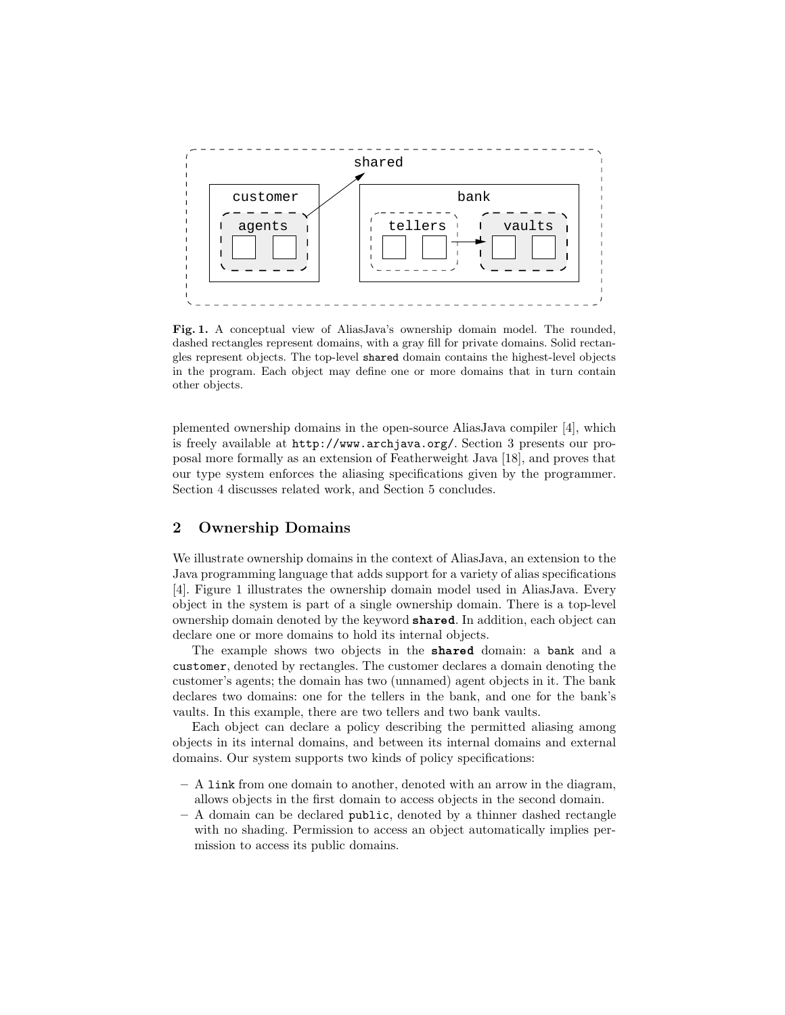

Fig. 1. A conceptual view of AliasJava's ownership domain model. The rounded, dashed rectangles represent domains, with a gray fill for private domains. Solid rectangles represent objects. The top-level shared domain contains the highest-level objects in the program. Each object may define one or more domains that in turn contain other objects.

plemented ownership domains in the open-source AliasJava compiler [4], which is freely available at http://www.archjava.org/. Section 3 presents our proposal more formally as an extension of Featherweight Java [18], and proves that our type system enforces the aliasing specifications given by the programmer. Section 4 discusses related work, and Section 5 concludes.

# 2 Ownership Domains

We illustrate ownership domains in the context of AliasJava, an extension to the Java programming language that adds support for a variety of alias specifications [4]. Figure 1 illustrates the ownership domain model used in AliasJava. Every object in the system is part of a single ownership domain. There is a top-level ownership domain denoted by the keyword shared. In addition, each object can declare one or more domains to hold its internal objects.

The example shows two objects in the shared domain: a bank and a customer, denoted by rectangles. The customer declares a domain denoting the customer's agents; the domain has two (unnamed) agent objects in it. The bank declares two domains: one for the tellers in the bank, and one for the bank's vaults. In this example, there are two tellers and two bank vaults.

Each object can declare a policy describing the permitted aliasing among objects in its internal domains, and between its internal domains and external domains. Our system supports two kinds of policy specifications:

- A link from one domain to another, denoted with an arrow in the diagram, allows objects in the first domain to access objects in the second domain.
- A domain can be declared public, denoted by a thinner dashed rectangle with no shading. Permission to access an object automatically implies permission to access its public domains.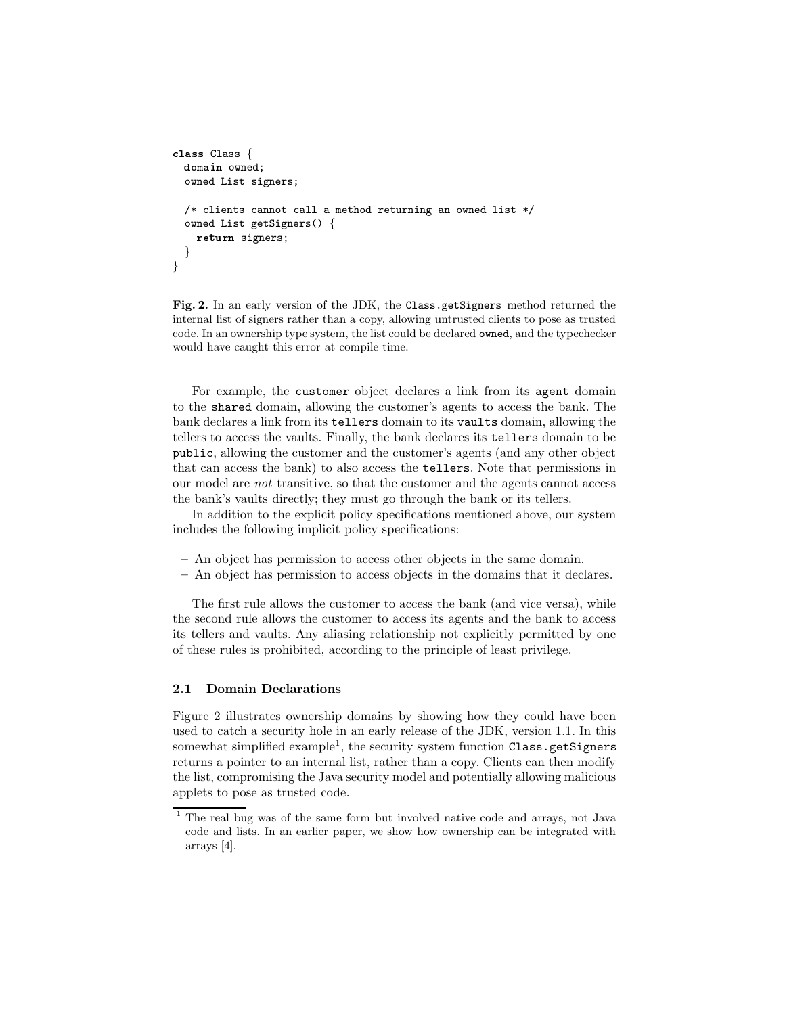```
class Class {
 domain owned;
 owned List signers;
 /* clients cannot call a method returning an owned list */
 owned List getSigners() {
    return signers;
  }
}
```
Fig. 2. In an early version of the JDK, the Class.getSigners method returned the internal list of signers rather than a copy, allowing untrusted clients to pose as trusted code. In an ownership type system, the list could be declared owned, and the typechecker would have caught this error at compile time.

For example, the customer object declares a link from its agent domain to the shared domain, allowing the customer's agents to access the bank. The bank declares a link from its tellers domain to its vaults domain, allowing the tellers to access the vaults. Finally, the bank declares its tellers domain to be public, allowing the customer and the customer's agents (and any other object that can access the bank) to also access the tellers. Note that permissions in our model are not transitive, so that the customer and the agents cannot access the bank's vaults directly; they must go through the bank or its tellers.

In addition to the explicit policy specifications mentioned above, our system includes the following implicit policy specifications:

- An object has permission to access other objects in the same domain.
- An object has permission to access objects in the domains that it declares.

The first rule allows the customer to access the bank (and vice versa), while the second rule allows the customer to access its agents and the bank to access its tellers and vaults. Any aliasing relationship not explicitly permitted by one of these rules is prohibited, according to the principle of least privilege.

## 2.1 Domain Declarations

Figure 2 illustrates ownership domains by showing how they could have been used to catch a security hole in an early release of the JDK, version 1.1. In this somewhat simplified example<sup>1</sup>, the security system function  $\texttt{Class.getSigners}$ returns a pointer to an internal list, rather than a copy. Clients can then modify the list, compromising the Java security model and potentially allowing malicious applets to pose as trusted code.

<sup>&</sup>lt;sup>1</sup> The real bug was of the same form but involved native code and arrays, not Java code and lists. In an earlier paper, we show how ownership can be integrated with arrays [4].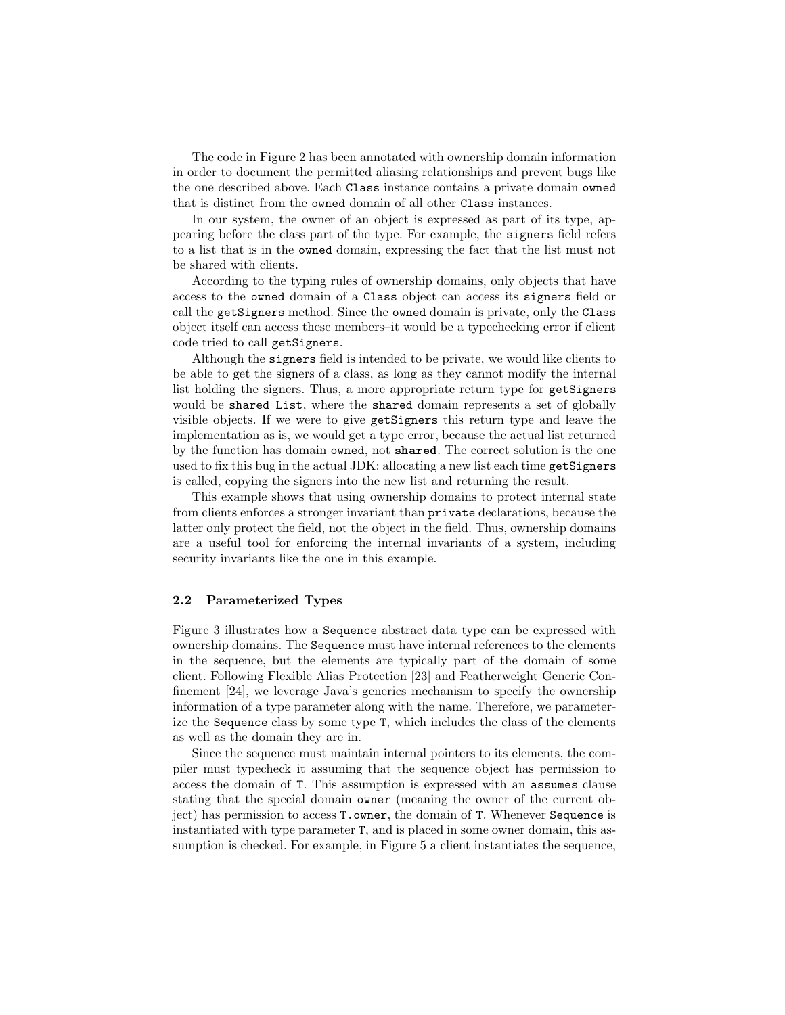The code in Figure 2 has been annotated with ownership domain information in order to document the permitted aliasing relationships and prevent bugs like the one described above. Each Class instance contains a private domain owned that is distinct from the owned domain of all other Class instances.

In our system, the owner of an object is expressed as part of its type, appearing before the class part of the type. For example, the signers field refers to a list that is in the owned domain, expressing the fact that the list must not be shared with clients.

According to the typing rules of ownership domains, only objects that have access to the owned domain of a Class object can access its signers field or call the getSigners method. Since the owned domain is private, only the Class object itself can access these members–it would be a typechecking error if client code tried to call getSigners.

Although the signers field is intended to be private, we would like clients to be able to get the signers of a class, as long as they cannot modify the internal list holding the signers. Thus, a more appropriate return type for getSigners would be shared List, where the shared domain represents a set of globally visible objects. If we were to give getSigners this return type and leave the implementation as is, we would get a type error, because the actual list returned by the function has domain owned, not shared. The correct solution is the one used to fix this bug in the actual JDK: allocating a new list each time getSigners is called, copying the signers into the new list and returning the result.

This example shows that using ownership domains to protect internal state from clients enforces a stronger invariant than private declarations, because the latter only protect the field, not the object in the field. Thus, ownership domains are a useful tool for enforcing the internal invariants of a system, including security invariants like the one in this example.

#### 2.2 Parameterized Types

Figure 3 illustrates how a Sequence abstract data type can be expressed with ownership domains. The Sequence must have internal references to the elements in the sequence, but the elements are typically part of the domain of some client. Following Flexible Alias Protection [23] and Featherweight Generic Confinement [24], we leverage Java's generics mechanism to specify the ownership information of a type parameter along with the name. Therefore, we parameterize the Sequence class by some type T, which includes the class of the elements as well as the domain they are in.

Since the sequence must maintain internal pointers to its elements, the compiler must typecheck it assuming that the sequence object has permission to access the domain of T. This assumption is expressed with an assumes clause stating that the special domain owner (meaning the owner of the current object) has permission to access T.owner, the domain of T. Whenever Sequence is instantiated with type parameter T, and is placed in some owner domain, this assumption is checked. For example, in Figure 5 a client instantiates the sequence,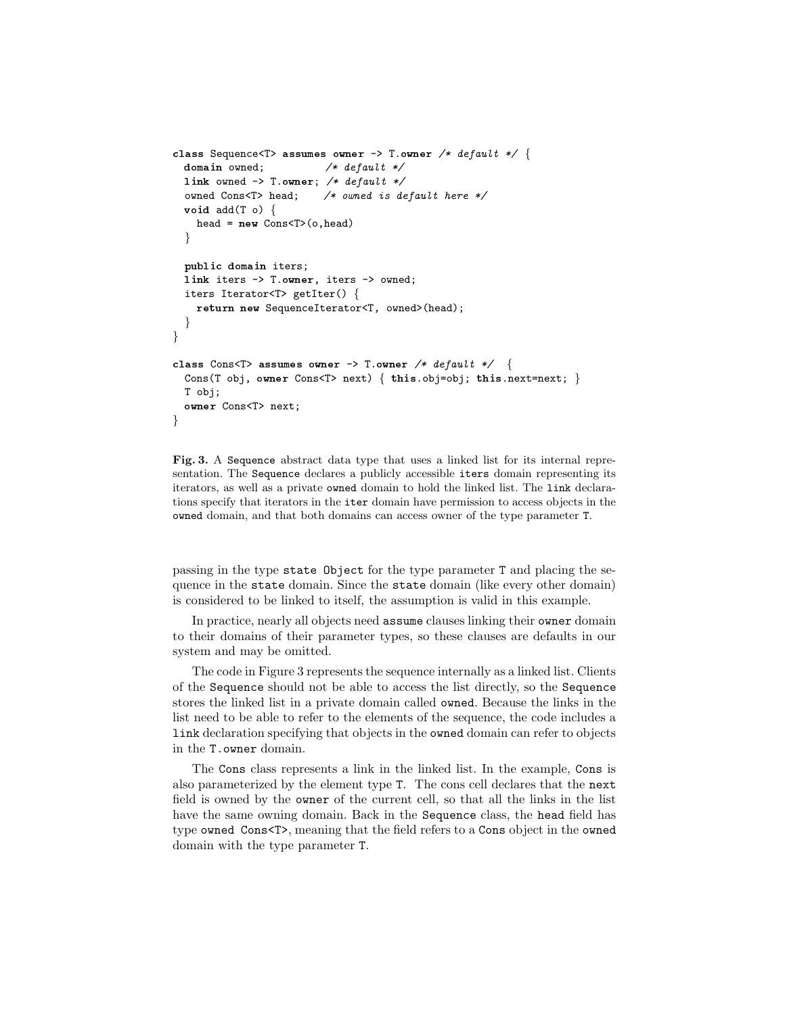```
class Sequence<T> assumes owner -> T.owner /* default */ {
 domain owned; /* default */link owned \rightarrow T.owner; /* default */
 owned Cons<T> head; /* owned is default here */
 void add(T o) {
   head = new Cons<T>(o,head)
  }
 public domain iters;
 link iters -> T.owner, iters -> owned;
 iters Iterator<T> getIter() {
   return new SequenceIterator<T, owned>(head);
 }
}
class Cons<T> assumes owner \rightarrow T.owner /* default */ {
 Cons(T obj, owner Cons<T> next) { this.obj=obj; this.next=next; }
 T obj;
  owner Cons<T> next;
}
```
Fig. 3. A Sequence abstract data type that uses a linked list for its internal representation. The Sequence declares a publicly accessible iters domain representing its iterators, as well as a private owned domain to hold the linked list. The link declarations specify that iterators in the iter domain have permission to access objects in the owned domain, and that both domains can access owner of the type parameter T.

passing in the type state Object for the type parameter T and placing the sequence in the state domain. Since the state domain (like every other domain) is considered to be linked to itself, the assumption is valid in this example.

In practice, nearly all objects need assume clauses linking their owner domain to their domains of their parameter types, so these clauses are defaults in our system and may be omitted.

The code in Figure 3 represents the sequence internally as a linked list. Clients of the Sequence should not be able to access the list directly, so the Sequence stores the linked list in a private domain called owned. Because the links in the list need to be able to refer to the elements of the sequence, the code includes a link declaration specifying that objects in the owned domain can refer to objects in the T.owner domain.

The Cons class represents a link in the linked list. In the example, Cons is also parameterized by the element type T. The cons cell declares that the next field is owned by the owner of the current cell, so that all the links in the list have the same owning domain. Back in the Sequence class, the head field has type owned Cons<T>, meaning that the field refers to a Cons object in the owned domain with the type parameter T.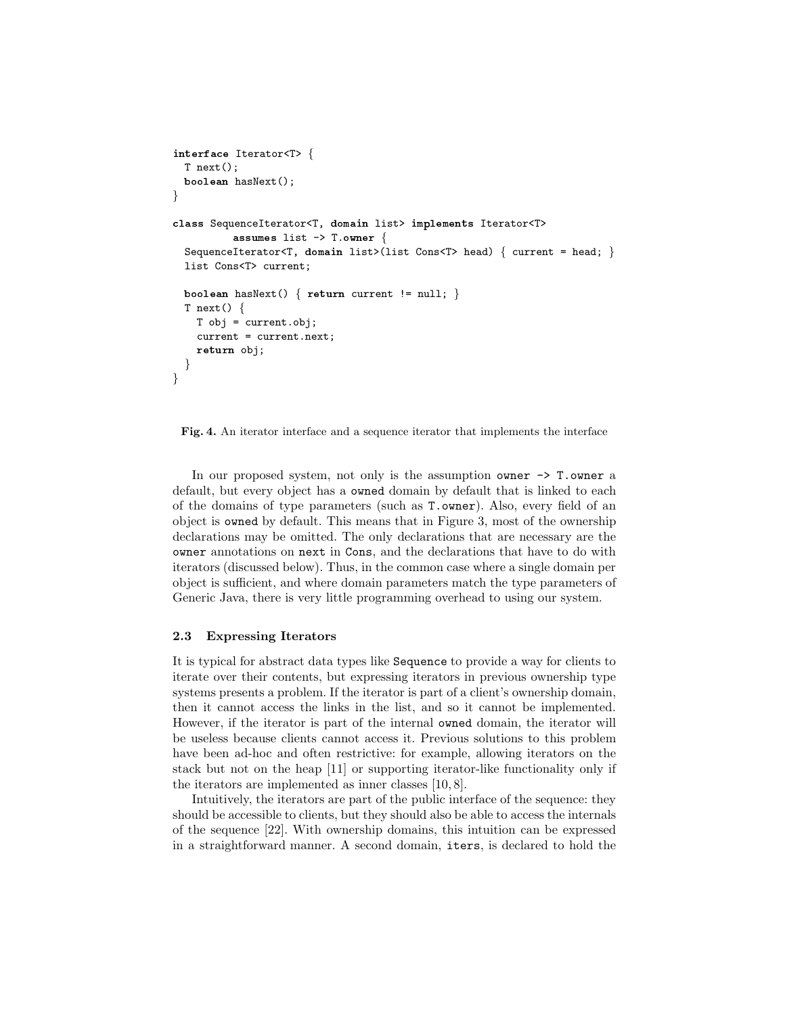```
interface Iterator<T> {
 T next();
 boolean hasNext();
}
class SequenceIterator<T, domain list> implements Iterator<T>
          assumes list \rightarrow T.owner {
 SequenceIterator<T, domain list>(list Cons<T> head) {        current = head;        }
 list Cons<T> current;
 boolean hasNext() { return current != null; }
  T next() \{T obj = current.obj;
    current = current.next;
    return obj;
 }
}
```
Fig. 4. An iterator interface and a sequence iterator that implements the interface

In our proposed system, not only is the assumption owner -> T.owner a default, but every object has a owned domain by default that is linked to each of the domains of type parameters (such as T.owner). Also, every field of an object is owned by default. This means that in Figure 3, most of the ownership declarations may be omitted. The only declarations that are necessary are the owner annotations on next in Cons, and the declarations that have to do with iterators (discussed below). Thus, in the common case where a single domain per object is sufficient, and where domain parameters match the type parameters of Generic Java, there is very little programming overhead to using our system.

## 2.3 Expressing Iterators

It is typical for abstract data types like Sequence to provide a way for clients to iterate over their contents, but expressing iterators in previous ownership type systems presents a problem. If the iterator is part of a client's ownership domain, then it cannot access the links in the list, and so it cannot be implemented. However, if the iterator is part of the internal owned domain, the iterator will be useless because clients cannot access it. Previous solutions to this problem have been ad-hoc and often restrictive: for example, allowing iterators on the stack but not on the heap [11] or supporting iterator-like functionality only if the iterators are implemented as inner classes [10, 8].

Intuitively, the iterators are part of the public interface of the sequence: they should be accessible to clients, but they should also be able to access the internals of the sequence [22]. With ownership domains, this intuition can be expressed in a straightforward manner. A second domain, iters, is declared to hold the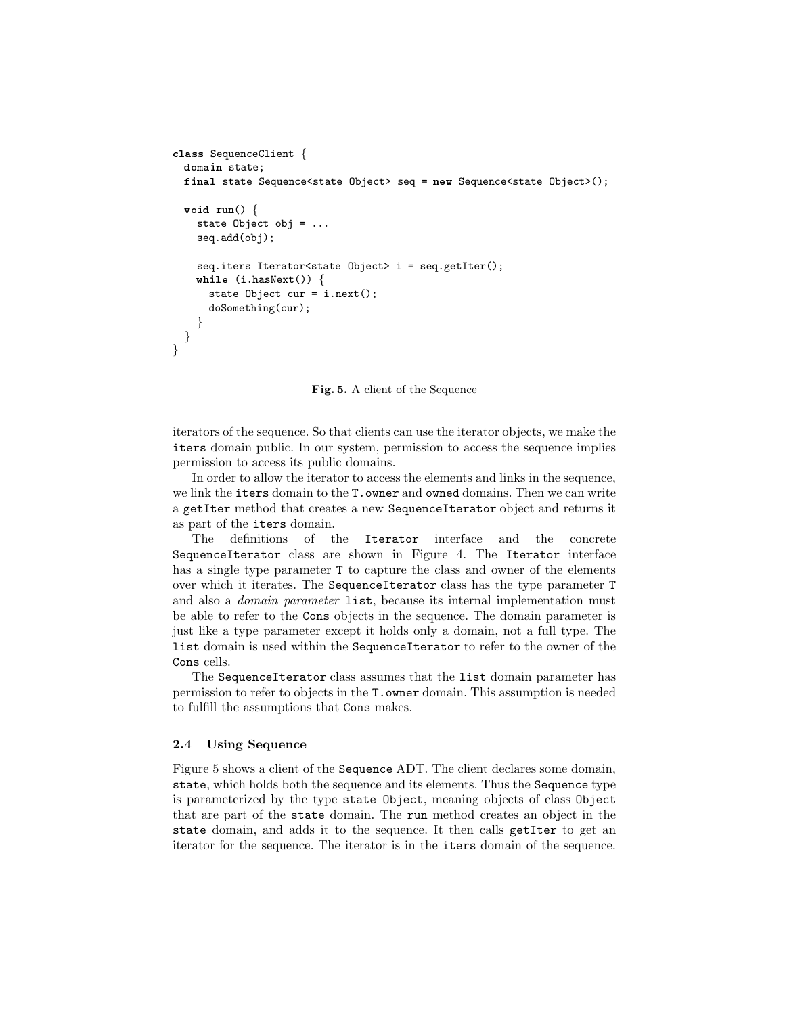```
class SequenceClient {
 domain state;
 final state Sequence<state Object> seq = new Sequence<state Object>();
 void run() {
    state Object obj = ...
    seq.add(obj);
    seq.iters Iterator<state Object> i = seq.getIter();
    while (i.hasNext()) {
     state Object cur = i.next();
     doSomething(cur);
    }
 }
}
```
Fig. 5. A client of the Sequence

iterators of the sequence. So that clients can use the iterator objects, we make the iters domain public. In our system, permission to access the sequence implies permission to access its public domains.

In order to allow the iterator to access the elements and links in the sequence, we link the iters domain to the T. owner and owned domains. Then we can write a getIter method that creates a new SequenceIterator object and returns it as part of the iters domain.

The definitions of the Iterator interface and the concrete SequenceIterator class are shown in Figure 4. The Iterator interface has a single type parameter  $T$  to capture the class and owner of the elements over which it iterates. The SequenceIterator class has the type parameter T and also a *domain parameter* list, because its internal implementation must be able to refer to the Cons objects in the sequence. The domain parameter is just like a type parameter except it holds only a domain, not a full type. The list domain is used within the SequenceIterator to refer to the owner of the Cons cells.

The SequenceIterator class assumes that the list domain parameter has permission to refer to objects in the T.owner domain. This assumption is needed to fulfill the assumptions that Cons makes.

## 2.4 Using Sequence

Figure 5 shows a client of the Sequence ADT. The client declares some domain, state, which holds both the sequence and its elements. Thus the Sequence type is parameterized by the type state Object, meaning objects of class Object that are part of the state domain. The run method creates an object in the state domain, and adds it to the sequence. It then calls getIter to get an iterator for the sequence. The iterator is in the iters domain of the sequence.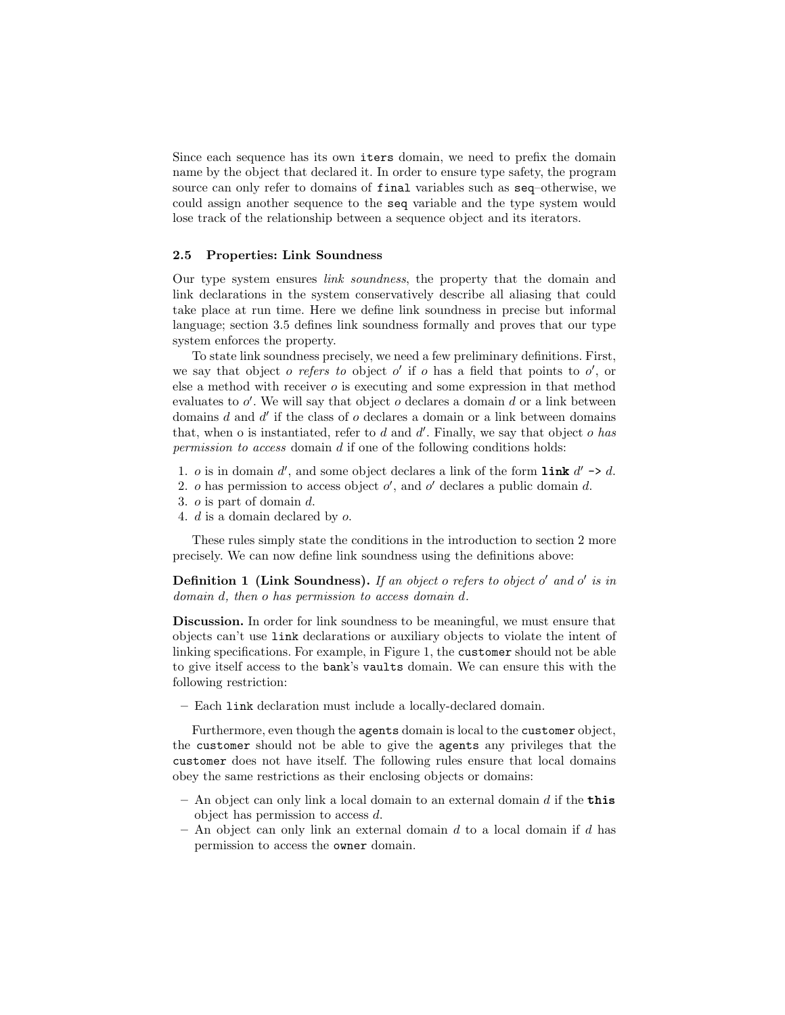Since each sequence has its own iters domain, we need to prefix the domain name by the object that declared it. In order to ensure type safety, the program source can only refer to domains of final variables such as seq–otherwise, we could assign another sequence to the seq variable and the type system would lose track of the relationship between a sequence object and its iterators.

#### 2.5 Properties: Link Soundness

Our type system ensures link soundness, the property that the domain and link declarations in the system conservatively describe all aliasing that could take place at run time. Here we define link soundness in precise but informal language; section 3.5 defines link soundness formally and proves that our type system enforces the property.

To state link soundness precisely, we need a few preliminary definitions. First, we say that object o refers to object o' if o has a field that points to o', or else a method with receiver  $\sigma$  is executing and some expression in that method evaluates to  $o'$ . We will say that object  $o$  declares a domain d or a link between domains  $d$  and  $d'$  if the class of  $o$  declares a domain or a link between domains that, when o is instantiated, refer to  $d$  and  $d'$ . Finally, we say that object  $o$  has permission to access domain d if one of the following conditions holds:

- 1. *o* is in domain  $d'$ , and some object declares a link of the form **link**  $d' \rightarrow d$ .
- 2.  $o$  has permission to access object  $o'$ , and  $o'$  declares a public domain  $d$ .
- 3. o is part of domain d.
- 4. d is a domain declared by o.

These rules simply state the conditions in the introduction to section 2 more precisely. We can now define link soundness using the definitions above:

Definition 1 (Link Soundness). If an object o refers to object o' and o' is in domain d, then o has permission to access domain d.

Discussion. In order for link soundness to be meaningful, we must ensure that objects can't use link declarations or auxiliary objects to violate the intent of linking specifications. For example, in Figure 1, the customer should not be able to give itself access to the bank's vaults domain. We can ensure this with the following restriction:

– Each link declaration must include a locally-declared domain.

Furthermore, even though the agents domain is local to the customer object, the customer should not be able to give the agents any privileges that the customer does not have itself. The following rules ensure that local domains obey the same restrictions as their enclosing objects or domains:

- An object can only link a local domain to an external domain d if the **this** object has permission to access d.
- $-$  An object can only link an external domain d to a local domain if d has permission to access the owner domain.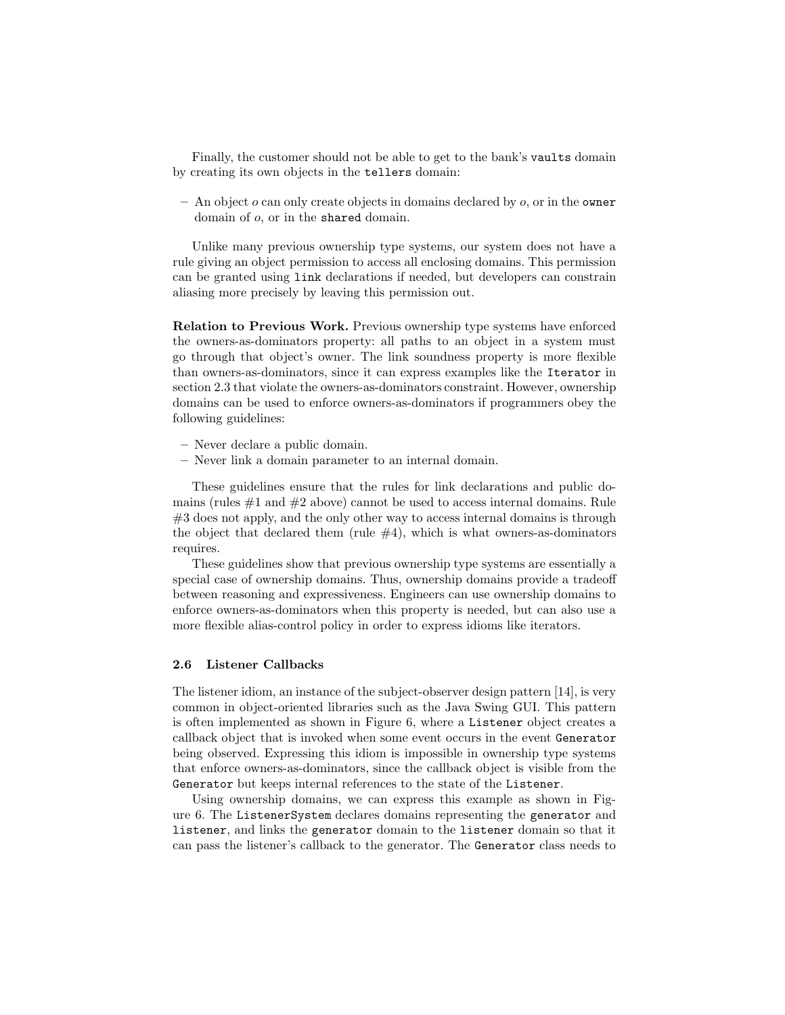Finally, the customer should not be able to get to the bank's vaults domain by creating its own objects in the tellers domain:

 $-$  An object  $\alpha$  can only create objects in domains declared by  $\alpha$ , or in the owner domain of o, or in the shared domain.

Unlike many previous ownership type systems, our system does not have a rule giving an object permission to access all enclosing domains. This permission can be granted using link declarations if needed, but developers can constrain aliasing more precisely by leaving this permission out.

Relation to Previous Work. Previous ownership type systems have enforced the owners-as-dominators property: all paths to an object in a system must go through that object's owner. The link soundness property is more flexible than owners-as-dominators, since it can express examples like the Iterator in section 2.3 that violate the owners-as-dominators constraint. However, ownership domains can be used to enforce owners-as-dominators if programmers obey the following guidelines:

- Never declare a public domain.
- Never link a domain parameter to an internal domain.

These guidelines ensure that the rules for link declarations and public domains (rules  $\#1$  and  $\#2$  above) cannot be used to access internal domains. Rule #3 does not apply, and the only other way to access internal domains is through the object that declared them (rule  $#4$ ), which is what owners-as-dominators requires.

These guidelines show that previous ownership type systems are essentially a special case of ownership domains. Thus, ownership domains provide a tradeoff between reasoning and expressiveness. Engineers can use ownership domains to enforce owners-as-dominators when this property is needed, but can also use a more flexible alias-control policy in order to express idioms like iterators.

## 2.6 Listener Callbacks

The listener idiom, an instance of the subject-observer design pattern [14], is very common in object-oriented libraries such as the Java Swing GUI. This pattern is often implemented as shown in Figure 6, where a Listener object creates a callback object that is invoked when some event occurs in the event Generator being observed. Expressing this idiom is impossible in ownership type systems that enforce owners-as-dominators, since the callback object is visible from the Generator but keeps internal references to the state of the Listener.

Using ownership domains, we can express this example as shown in Figure 6. The ListenerSystem declares domains representing the generator and listener, and links the generator domain to the listener domain so that it can pass the listener's callback to the generator. The Generator class needs to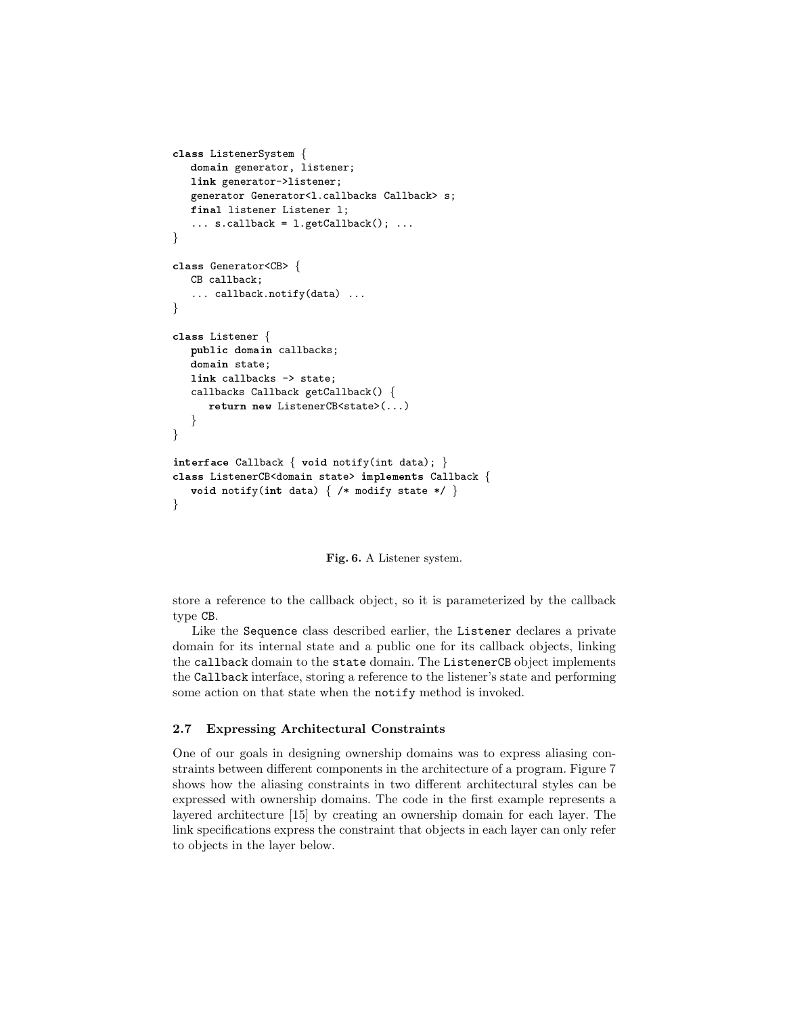```
class ListenerSystem {
   domain generator, listener;
   link generator->listener;
   generator Generator<l.callbacks Callback> s;
   final listener Listener l;
   \ldots s.callback = l.getCallback(); \ldots}
class Generator<CB> {
  CB callback;
   ... callback.notify(data) ...
}
class Listener {
  public domain callbacks;
   domain state;
   link callbacks -> state;
  callbacks Callback getCallback() {
     return new ListenerCB<state>(...)
   }
}
interface Callback \{ void notify(int data); \}class ListenerCB<domain state> implements Callback {
   void notify(int data) \{ /* modify state */ \}}
```
#### Fig. 6. A Listener system.

store a reference to the callback object, so it is parameterized by the callback type CB.

Like the Sequence class described earlier, the Listener declares a private domain for its internal state and a public one for its callback objects, linking the callback domain to the state domain. The ListenerCB object implements the Callback interface, storing a reference to the listener's state and performing some action on that state when the notify method is invoked.

#### 2.7 Expressing Architectural Constraints

One of our goals in designing ownership domains was to express aliasing constraints between different components in the architecture of a program. Figure 7 shows how the aliasing constraints in two different architectural styles can be expressed with ownership domains. The code in the first example represents a layered architecture [15] by creating an ownership domain for each layer. The link specifications express the constraint that objects in each layer can only refer to objects in the layer below.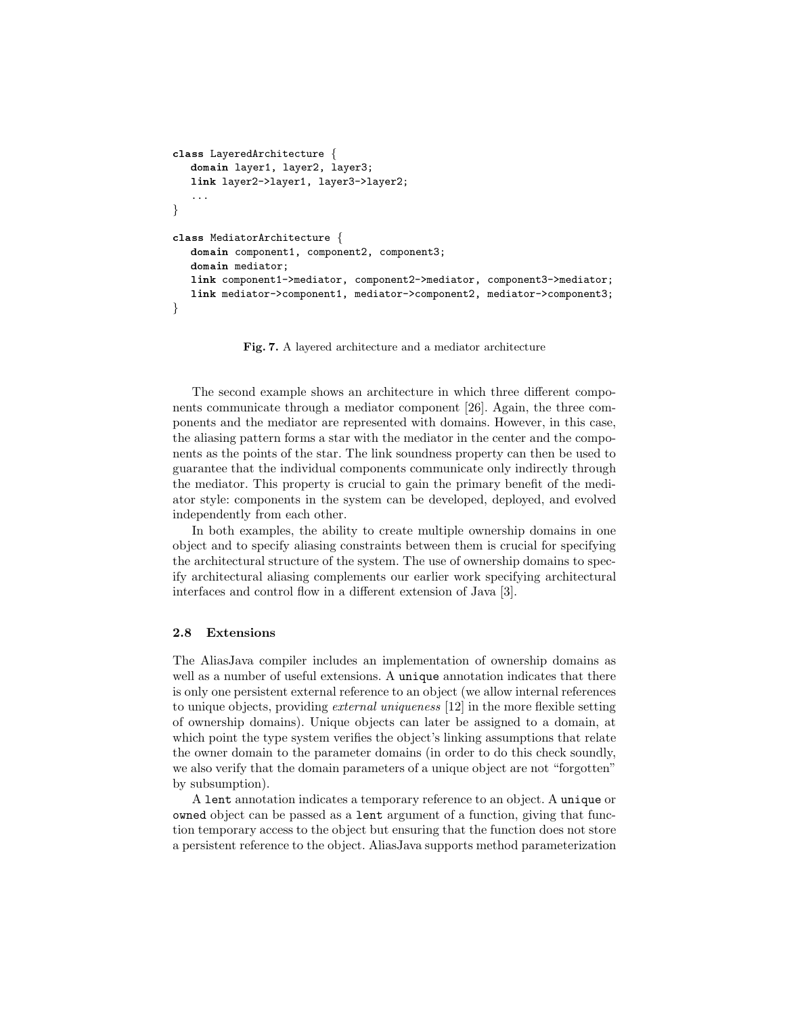```
class LayeredArchitecture {
   domain layer1, layer2, layer3;
   link layer2->layer1, layer3->layer2;
   ...
}
class MediatorArchitecture {
   domain component1, component2, component3;
   domain mediator;
   link component1->mediator, component2->mediator, component3->mediator;
   link mediator->component1, mediator->component2, mediator->component3;
}
```
Fig. 7. A layered architecture and a mediator architecture

The second example shows an architecture in which three different components communicate through a mediator component [26]. Again, the three components and the mediator are represented with domains. However, in this case, the aliasing pattern forms a star with the mediator in the center and the components as the points of the star. The link soundness property can then be used to guarantee that the individual components communicate only indirectly through the mediator. This property is crucial to gain the primary benefit of the mediator style: components in the system can be developed, deployed, and evolved independently from each other.

In both examples, the ability to create multiple ownership domains in one object and to specify aliasing constraints between them is crucial for specifying the architectural structure of the system. The use of ownership domains to specify architectural aliasing complements our earlier work specifying architectural interfaces and control flow in a different extension of Java [3].

## 2.8 Extensions

The AliasJava compiler includes an implementation of ownership domains as well as a number of useful extensions. A unique annotation indicates that there is only one persistent external reference to an object (we allow internal references to unique objects, providing external uniqueness [12] in the more flexible setting of ownership domains). Unique objects can later be assigned to a domain, at which point the type system verifies the object's linking assumptions that relate the owner domain to the parameter domains (in order to do this check soundly, we also verify that the domain parameters of a unique object are not "forgotten" by subsumption).

A lent annotation indicates a temporary reference to an object. A unique or owned object can be passed as a lent argument of a function, giving that function temporary access to the object but ensuring that the function does not store a persistent reference to the object. AliasJava supports method parameterization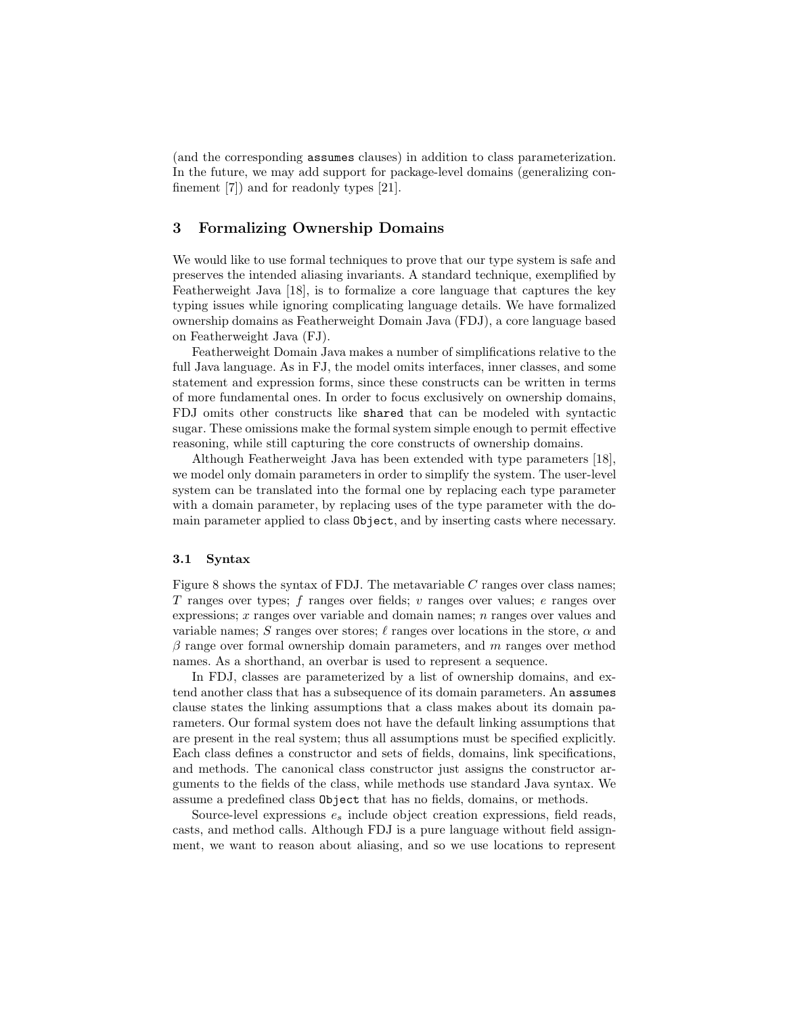(and the corresponding assumes clauses) in addition to class parameterization. In the future, we may add support for package-level domains (generalizing confinement [7]) and for readonly types [21].

# 3 Formalizing Ownership Domains

We would like to use formal techniques to prove that our type system is safe and preserves the intended aliasing invariants. A standard technique, exemplified by Featherweight Java [18], is to formalize a core language that captures the key typing issues while ignoring complicating language details. We have formalized ownership domains as Featherweight Domain Java (FDJ), a core language based on Featherweight Java (FJ).

Featherweight Domain Java makes a number of simplifications relative to the full Java language. As in FJ, the model omits interfaces, inner classes, and some statement and expression forms, since these constructs can be written in terms of more fundamental ones. In order to focus exclusively on ownership domains, FDJ omits other constructs like shared that can be modeled with syntactic sugar. These omissions make the formal system simple enough to permit effective reasoning, while still capturing the core constructs of ownership domains.

Although Featherweight Java has been extended with type parameters [18], we model only domain parameters in order to simplify the system. The user-level system can be translated into the formal one by replacing each type parameter with a domain parameter, by replacing uses of the type parameter with the domain parameter applied to class Object, and by inserting casts where necessary.

## 3.1 Syntax

Figure 8 shows the syntax of FDJ. The metavariable  $C$  ranges over class names; T ranges over types; f ranges over fields; v ranges over values; e ranges over expressions;  $x$  ranges over variable and domain names;  $n$  ranges over values and variable names; S ranges over stores;  $\ell$  ranges over locations in the store,  $\alpha$  and  $\beta$  range over formal ownership domain parameters, and m ranges over method names. As a shorthand, an overbar is used to represent a sequence.

In FDJ, classes are parameterized by a list of ownership domains, and extend another class that has a subsequence of its domain parameters. An assumes clause states the linking assumptions that a class makes about its domain parameters. Our formal system does not have the default linking assumptions that are present in the real system; thus all assumptions must be specified explicitly. Each class defines a constructor and sets of fields, domains, link specifications, and methods. The canonical class constructor just assigns the constructor arguments to the fields of the class, while methods use standard Java syntax. We assume a predefined class Object that has no fields, domains, or methods.

Source-level expressions  $e_s$  include object creation expressions, field reads, casts, and method calls. Although FDJ is a pure language without field assignment, we want to reason about aliasing, and so we use locations to represent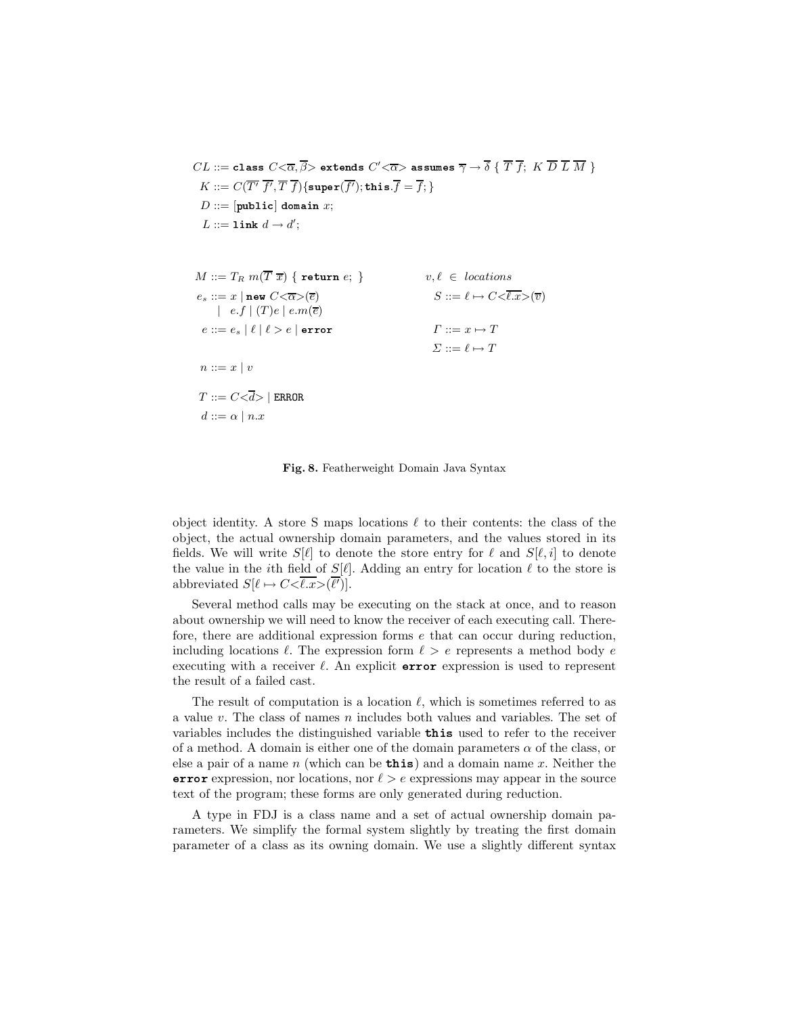$$
CL ::= \text{class } C < \overline{\alpha}, \overline{\beta} > \text{ extends } C' < \overline{\alpha} > \text{ assumes } \overline{\gamma} \to \overline{\delta} \{ \overline{T} \overline{f}; K \overline{D} \overline{L} \overline{M} \}
$$
\n
$$
K ::= C(\overline{T'} \overline{f'}, \overline{T} \overline{f}) \{ \text{super}(\overline{f'}); \text{this.} \overline{f} = \overline{f}; \}
$$
\n
$$
D ::= [\text{public}] \text{ domain } x;
$$
\n
$$
L ::= \text{link } d \to d';
$$

| $M ::= T_R \ m(\overline{T} \ \overline{x}) \ \{ \ \texttt{return} \ e; \ \}$ | $v, \ell \in locations$                                      |
|-------------------------------------------------------------------------------|--------------------------------------------------------------|
| $e_s ::= x \mid \text{new } C \leq \overline{\alpha} > (\overline{e})$        | $S ::= \ell \mapsto C \langle \ell.x \rangle (\overline{v})$ |
| $e.f$   $(T)e$   $e.m(\overline{e})$                                          |                                                              |
| $e ::= e_s   \ell   \ell > e$ error                                           | $\Gamma ::= x \mapsto T$                                     |
|                                                                               | $\Sigma ::= \ell \mapsto T$                                  |

 $n ::= x \mid v$ 

 $T :: = C < \overline{d} > |$  ERROR  $d ::= \alpha \mid n.x$ 

Fig. 8. Featherweight Domain Java Syntax

object identity. A store S maps locations  $\ell$  to their contents: the class of the object, the actual ownership domain parameters, and the values stored in its fields. We will write  $S[\ell]$  to denote the store entry for  $\ell$  and  $S[\ell, i]$  to denote the value in the *i*th field of  $S[\ell]$ . Adding an entry for location  $\ell$  to the store is abbreviated  $S[\ell \mapsto C \langle \overline{\ell x} \rangle \langle \overline{\ell'} \rangle]$ .

Several method calls may be executing on the stack at once, and to reason about ownership we will need to know the receiver of each executing call. Therefore, there are additional expression forms  $e$  that can occur during reduction, including locations  $\ell$ . The expression form  $\ell > e$  represents a method body  $e$ executing with a receiver  $\ell$ . An explicit **error** expression is used to represent the result of a failed cast.

The result of computation is a location  $\ell$ , which is sometimes referred to as a value  $v$ . The class of names  $n$  includes both values and variables. The set of variables includes the distinguished variable this used to refer to the receiver of a method. A domain is either one of the domain parameters  $\alpha$  of the class, or else a pair of a name  $n$  (which can be **this**) and a domain name x. Neither the error expression, nor locations, nor  $\ell > e$  expressions may appear in the source text of the program; these forms are only generated during reduction.

A type in FDJ is a class name and a set of actual ownership domain parameters. We simplify the formal system slightly by treating the first domain parameter of a class as its owning domain. We use a slightly different syntax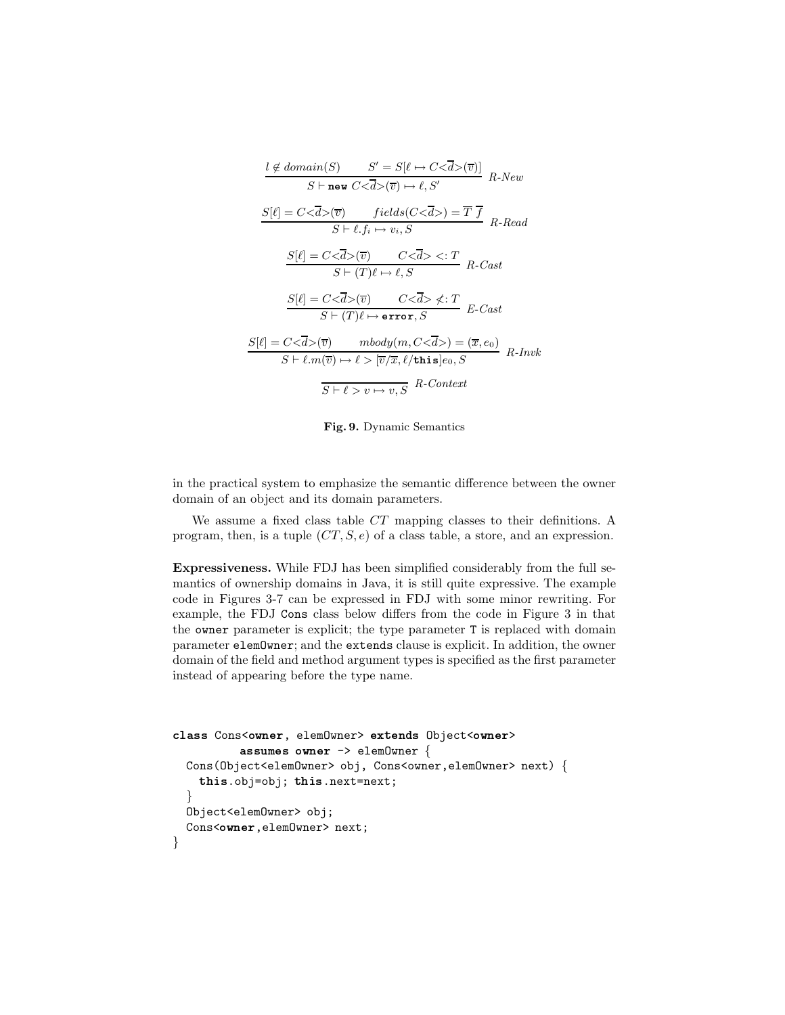| $l \notin domain(S)$ $S' = S[\ell \mapsto C \le \overline{d} \ge (\overline{v})]$ $R\text{-}New$                                                                                                                                |  |  |
|---------------------------------------------------------------------------------------------------------------------------------------------------------------------------------------------------------------------------------|--|--|
| $S\vdash$ new $C<\overline{d}>(\overline{v})\mapsto \ell, S'$                                                                                                                                                                   |  |  |
| $\frac{S[\ell] = C {<} \overline{d}{>}(\overline{v}) \quad \quad fields(C {<} \overline{d}{>} ) = \overline{T} \ \overline{f}}{S \vdash \ell . f_i \mapsto v_i, S}$<br>$-$ R-Read                                               |  |  |
| $\frac{S[\ell] = C {<} \overline{d} {>} (\overline{v}) \qquad C {<} \overline{d} {>} <: T} {S \vdash (T) \ell \mapsto \ell, S}$<br>$R$ -Cast                                                                                    |  |  |
| $\frac{S[\ell] = C \langle \overline{d} \rangle(\overline{v}) \qquad C \langle \overline{d} \rangle \nless T}{S \vdash (T)\ell \mapsto \texttt{error}, S} \quad E\text{-}Cast$                                                  |  |  |
| $\frac{S[\ell] = C <\overline{d}>(\overline{v}) \qquad mbody(m, C <\overline{d}>) = (\overline{x}, e_0)}{S \vdash \ell.m(\overline{v}) \mapsto \ell > [\overline{v}/\overline{x}, \ell/\mathbf{this}]e_0, S} \ \ R\text{-}Invk$ |  |  |
| $\overline{S\vdash\ell>v\mapsto v, S}\;$ R-Context                                                                                                                                                                              |  |  |

Fig. 9. Dynamic Semantics

in the practical system to emphasize the semantic difference between the owner domain of an object and its domain parameters.

We assume a fixed class table CT mapping classes to their definitions. A program, then, is a tuple  $(CT, S, e)$  of a class table, a store, and an expression.

Expressiveness. While FDJ has been simplified considerably from the full semantics of ownership domains in Java, it is still quite expressive. The example code in Figures 3-7 can be expressed in FDJ with some minor rewriting. For example, the FDJ Cons class below differs from the code in Figure 3 in that the owner parameter is explicit; the type parameter T is replaced with domain parameter elemOwner; and the extends clause is explicit. In addition, the owner domain of the field and method argument types is specified as the first parameter instead of appearing before the type name.

```
class Cons<owner, elemOwner> extends Object<owner>
          assumes owner -> elemOwner {
 Cons(Object<elemOwner> obj, Cons<owner,elemOwner> next) {
    this.obj=obj; this.next=next;
  }
 Object<elemOwner> obj;
 Cons<owner, elemOwner> next;
}
```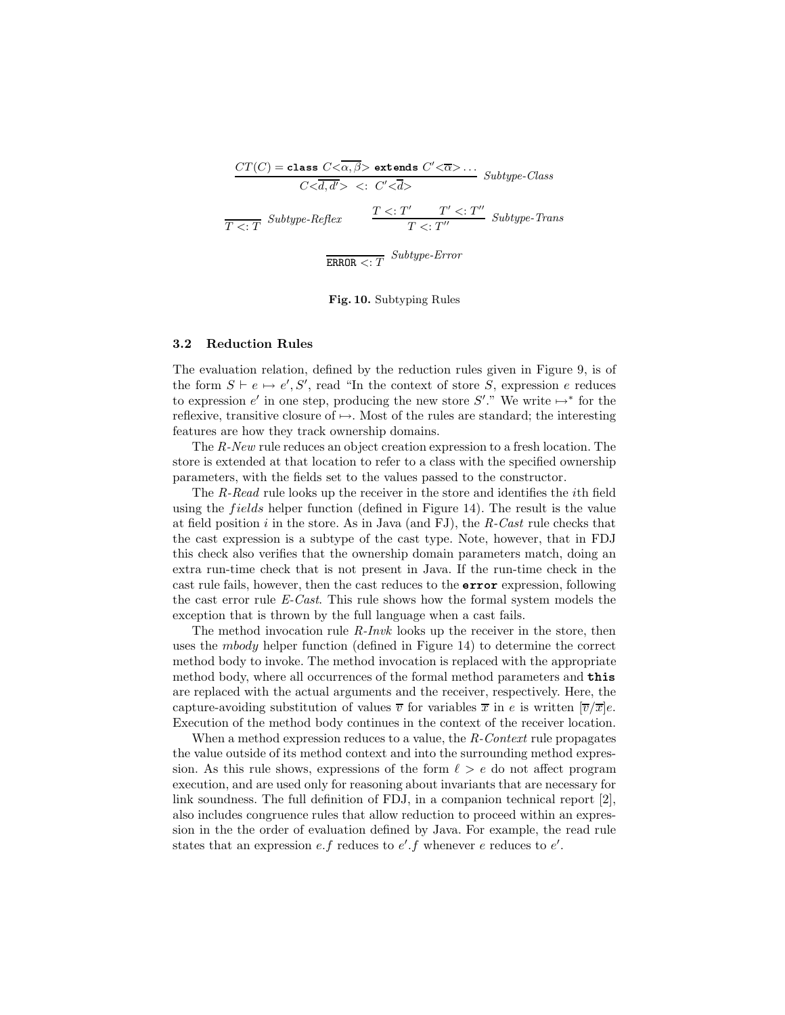$$
\frac{CT(C) = \text{class } C < \overline{\alpha, \beta} > \text{ extends } C' < \overline{\alpha} > \dots}{C < \overline{d, d'} > \langle C' < \overline{d} \rangle} \text{Subtype-Class}
$$
\n
$$
\frac{T <: T' \quad T' <: T''}{T <: T''} \text{Subtype-Trans}
$$
\n
$$
\frac{T <: T' \quad T' <: T''}{\text{EROR} <: T} \text{Subtype-Error}
$$

Fig. 10. Subtyping Rules

## 3.2 Reduction Rules

The evaluation relation, defined by the reduction rules given in Figure 9, is of the form  $S \vdash e \mapsto e', S'$ , read "In the context of store  $\tilde{S}$ , expression e reduces to expression e' in one step, producing the new store S'." We write  $\mapsto^*$  for the reflexive, transitive closure of  $\mapsto$ . Most of the rules are standard; the interesting features are how they track ownership domains.

The R-New rule reduces an object creation expression to a fresh location. The store is extended at that location to refer to a class with the specified ownership parameters, with the fields set to the values passed to the constructor.

The R-Read rule looks up the receiver in the store and identifies the ith field using the *fields* helper function (defined in Figure 14). The result is the value at field position i in the store. As in Java (and FJ), the  $R\text{-}Cast$  rule checks that the cast expression is a subtype of the cast type. Note, however, that in FDJ this check also verifies that the ownership domain parameters match, doing an extra run-time check that is not present in Java. If the run-time check in the cast rule fails, however, then the cast reduces to the error expression, following the cast error rule E-Cast. This rule shows how the formal system models the exception that is thrown by the full language when a cast fails.

The method invocation rule  $R\text{-}Invk$  looks up the receiver in the store, then uses the mbody helper function (defined in Figure 14) to determine the correct method body to invoke. The method invocation is replaced with the appropriate method body, where all occurrences of the formal method parameters and this are replaced with the actual arguments and the receiver, respectively. Here, the capture-avoiding substitution of values  $\overline{v}$  for variables  $\overline{x}$  in e is written  $[\overline{v}/\overline{x}]e$ . Execution of the method body continues in the context of the receiver location.

When a method expression reduces to a value, the R-Context rule propagates the value outside of its method context and into the surrounding method expression. As this rule shows, expressions of the form  $\ell > e$  do not affect program execution, and are used only for reasoning about invariants that are necessary for link soundness. The full definition of FDJ, in a companion technical report [2], also includes congruence rules that allow reduction to proceed within an expression in the the order of evaluation defined by Java. For example, the read rule states that an expression  $e.f$  reduces to  $e'.f$  whenever  $e$  reduces to  $e'.$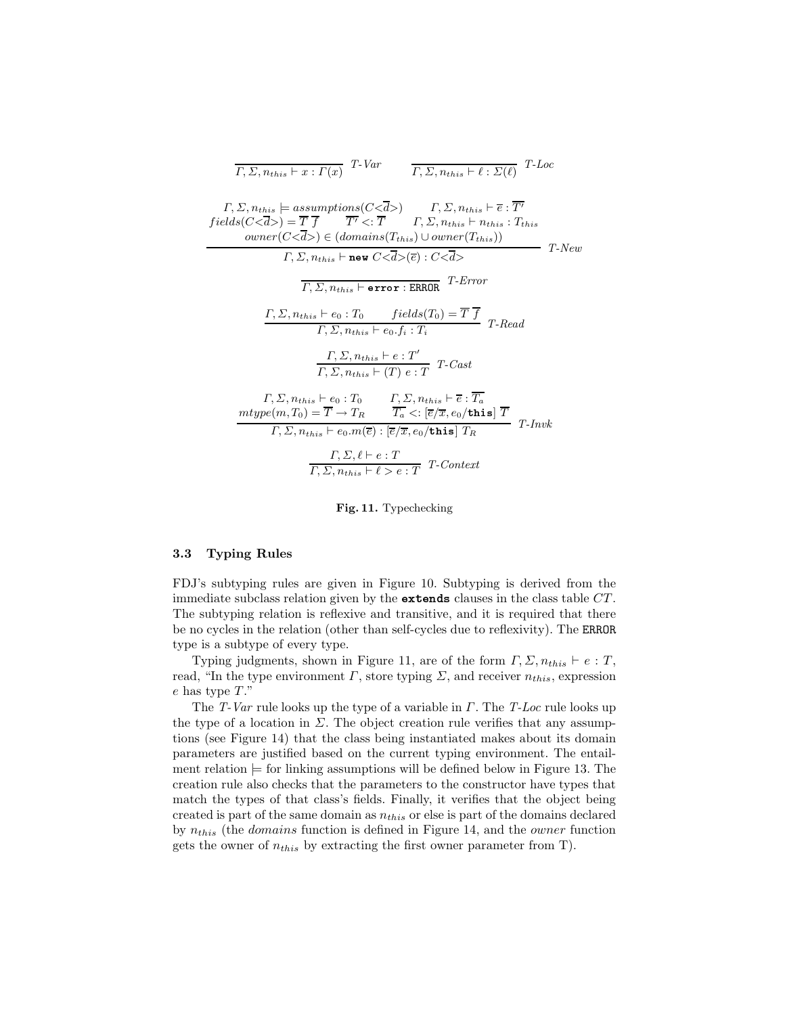| T-Loc<br>$T$ -Var<br>$\overline{\Gamma, \Sigma, n_{this} \vdash x : \Gamma(x)}$<br>$\overline{\Gamma, \Sigma, n_{this} \vdash \ell : \Sigma(\ell)}$                                                                                                                                                                                    |          |  |
|----------------------------------------------------------------------------------------------------------------------------------------------------------------------------------------------------------------------------------------------------------------------------------------------------------------------------------------|----------|--|
| $\Gamma, \Sigma, n_{this} \models assumptions(C < d>)$ $\Gamma, \Sigma, n_{this} \vdash \overline{e}:T'$<br>$fields(C<\overline{d}>)=\overline{T}\ \overline{f} \qquad \overline{T'}<:\overline{T} \qquad \Gamma, \Sigma, n_{this} \vdash n_{this}:T_{this}$<br>$owner(C < \overline{d}) \in (domains(T_{this}) \cup owner(T_{this}))$ | $T$ -New |  |
| $\Gamma, \Sigma, n_{this} \vdash \textbf{new } C \langle d \rangle(\overline{e}) : C \langle d \rangle$                                                                                                                                                                                                                                |          |  |
| T-Error<br>$\overline{\Gamma, \Sigma, n_{this} \vdash \texttt{error} : \texttt{ERROR}}$                                                                                                                                                                                                                                                |          |  |
| $\frac{\Gamma, \Sigma, n_{this} \vdash e_0 : T_0 \quad fields(T_0) = \overline{T} \overline{f}}{\Gamma, \Sigma, n_{this} \vdash e_0. f_i : T_i}$<br>$T$ -Read                                                                                                                                                                          |          |  |
| $\frac{\Gamma, \Sigma, n_{this} \vdash e : T'}{\Gamma, \Sigma, n_{this} \vdash (T) e : T} T\text{-}\mathit{Cast}$                                                                                                                                                                                                                      |          |  |
| $\Gamma, \Sigma, n_{this} \vdash e_0 : T_0 \qquad \Gamma, \Sigma, n_{this} \vdash \overline{e} : \overline{T_a}$<br>$\mathit{mtype}(m,T_0) = \overline{T} \to T_R \qquad \overline{T_a} <: [\overline{e}/\overline{x},e_0/\mathtt{this}] \; \overline{T}$<br>$T$ -Inv $k$                                                              |          |  |
| $\Gamma, \Sigma, n_{this} \vdash e_0.m(\overline{e}) : [\overline{e}/\overline{x}, e_0/\mathtt{this}] T_R$                                                                                                                                                                                                                             |          |  |
| $\Gamma, \Sigma, \ell \vdash e : T$<br>$\Gamma, \overline{\Sigma, n_{this} \vdash \ell > e : T}$ T-Context                                                                                                                                                                                                                             |          |  |

Fig. 11. Typechecking

#### 3.3 Typing Rules

FDJ's subtyping rules are given in Figure 10. Subtyping is derived from the immediate subclass relation given by the  $\epsilon$ xtends clauses in the class table  $CT$ . The subtyping relation is reflexive and transitive, and it is required that there be no cycles in the relation (other than self-cycles due to reflexivity). The ERROR type is a subtype of every type.

Typing judgments, shown in Figure 11, are of the form  $\Gamma, \Sigma, n_{this} \vdash e : T$ , read, "In the type environment  $\Gamma$ , store typing  $\Sigma$ , and receiver  $n_{this}$ , expression  $e$  has type  $T$ ."

The T-Var rule looks up the type of a variable in  $\Gamma$ . The T-Loc rule looks up the type of a location in  $\Sigma$ . The object creation rule verifies that any assumptions (see Figure 14) that the class being instantiated makes about its domain parameters are justified based on the current typing environment. The entailment relation  $\models$  for linking assumptions will be defined below in Figure 13. The creation rule also checks that the parameters to the constructor have types that match the types of that class's fields. Finally, it verifies that the object being created is part of the same domain as  $n_{this}$  or else is part of the domains declared by  $n_{this}$  (the *domains* function is defined in Figure 14, and the *owner* function gets the owner of  $n_{this}$  by extracting the first owner parameter from T).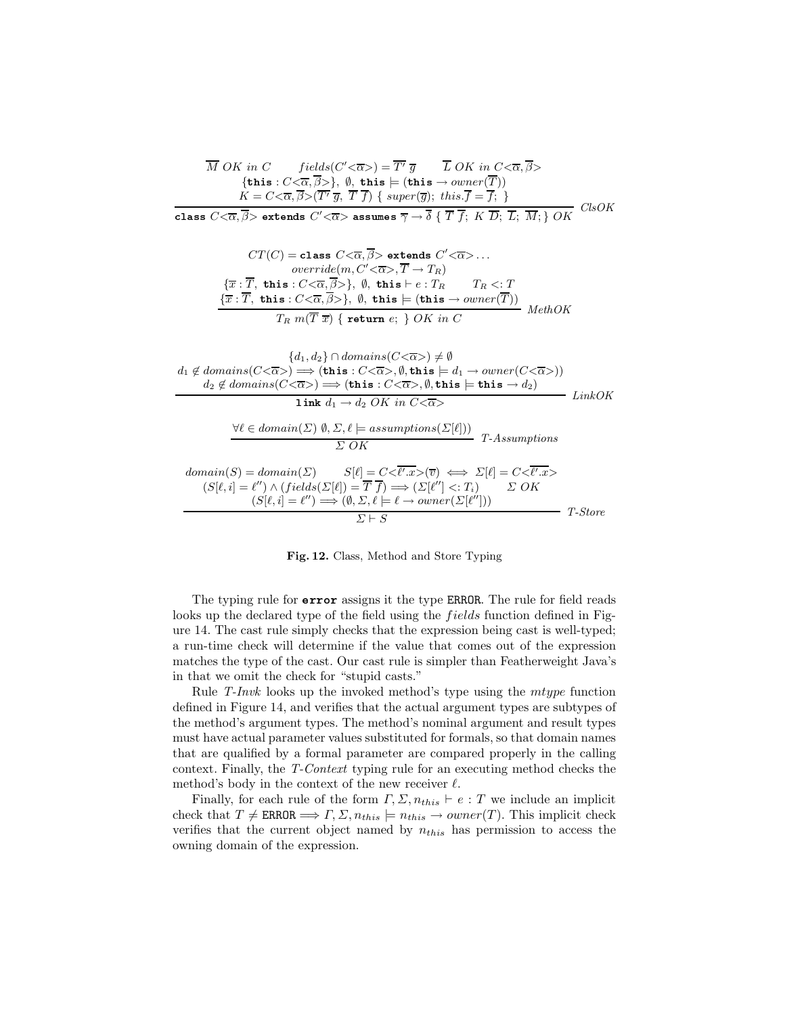$$
\overline{M} OK in C \quad fields(C' < \overline{\alpha}) = \overline{T' \, \overline{g}} \quad \overline{L} OK in C < \overline{\alpha}, \overline{\beta} >
$$
\n{this :  $C < \overline{\alpha}, \overline{\beta} > \}$ ,  $\emptyset$ , this |= (this → owner(\overline{T}))  
\nK = C < \overline{\alpha}, \overline{\beta} > (\overline{T' \, \overline{g}}, \overline{T \, \overline{f}}) { super( $\overline{g}$ ); this,  $\overline{f} = \overline{f}$ };  
\nclass  $C < \overline{\alpha}, \overline{\beta} > \text{ extends } C' < \overline{\alpha} > \text{ assumes } \overline{\gamma} \rightarrow \overline{\delta} \{ \overline{T} \, \overline{f}; K \, \overline{D}; \, \overline{L}; \, \overline{M}; \} \, OK$   $CISOK$   
\n
$$
CT(C) = \text{class } C < \overline{\alpha}, \overline{\beta} > \text{ extends } C' < \overline{\alpha} > ...
$$
\n
$$
\text{override}(m, C' < \overline{\alpha}) > T + R)
$$
\n{ $\overline{x} : \overline{T}, \text{ this} : C < \overline{\alpha}, \overline{\beta} > \}$ ,  $\emptyset, \text{ this} \models (\text{this} \rightarrow \text{owner}(\overline{T}))$  *MethodK*  
\n $\overline{T_R m(\overline{T} \, \overline{x})} \{ \text{return } e; \} \, OK \, in C$   
\n $\{d_1, d_2\} \cap \text{domains}(C < \overline{\alpha} >) \neq \emptyset$   
\n $d_1 \notin \text{domains}(C < \overline{\alpha} >) \Longrightarrow (\text{this} : C < \overline{\alpha} > \emptyset, \text{this} \models d_1 \rightarrow \text{owner}(C < \overline{\alpha} >))$   
\n $d_2 \notin \text{domains}(C < \overline{\alpha} >) \Longrightarrow (\text{this} : C < \overline{\alpha} > \emptyset, \text{this} \models \text{this} \rightarrow d_2)$   
\n $\$ 

Fig. 12. Class, Method and Store Typing

The typing rule for  $error$  assigns it the type ERROR. The rule for field reads looks up the declared type of the field using the *fields* function defined in Figure 14. The cast rule simply checks that the expression being cast is well-typed; a run-time check will determine if the value that comes out of the expression matches the type of the cast. Our cast rule is simpler than Featherweight Java's in that we omit the check for "stupid casts."

Rule T-Invk looks up the invoked method's type using the mtype function defined in Figure 14, and verifies that the actual argument types are subtypes of the method's argument types. The method's nominal argument and result types must have actual parameter values substituted for formals, so that domain names that are qualified by a formal parameter are compared properly in the calling context. Finally, the T-Context typing rule for an executing method checks the method's body in the context of the new receiver  $\ell$ .

Finally, for each rule of the form  $\Gamma, \Sigma, n_{this} \vdash e : T$  we include an implicit check that  $T \neq \texttt{ERROR} \Longrightarrow \varGamma, \varSigma, n_{this} \models n_{this} \rightarrow owner(T)$ . This implicit check verifies that the current object named by  $n_{this}$  has permission to access the owning domain of the expression.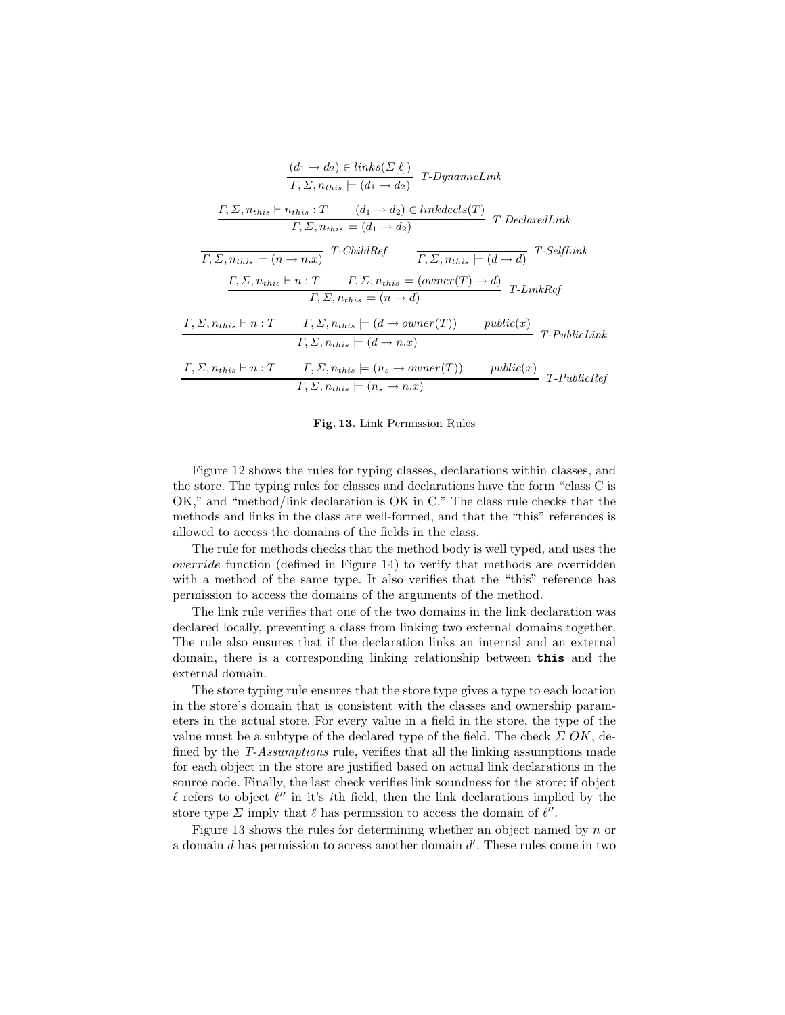$$
\frac{(d_1 \rightarrow d_2) \in links(\Sigma[\ell])}{\Gamma, \Sigma, n_{this} \models (d_1 \rightarrow d_2)} \quad T\text{-}DynamicLink}
$$
\n
$$
\frac{\Gamma, \Sigma, n_{this} \models n_{this} : T \qquad (d_1 \rightarrow d_2) \in linkdecls(T)}{\Gamma, \Sigma, n_{this} \models (d_1 \rightarrow d_2)} \quad T\text{-} DeclaredLink}
$$
\n
$$
\frac{\Gamma, \Sigma, n_{this} \models (n \rightarrow n.x)}{\Gamma, \Sigma, n_{this} \models (n \rightarrow n.x)} \quad T\text{-} ChildRef \qquad \frac{\Gamma, \Sigma, n_{this} \models (d \rightarrow d)}{\Gamma, \Sigma, n_{this} \models (n \rightarrow d)} \quad T\text{-}SelfLink}
$$
\n
$$
\frac{\Gamma, \Sigma, n_{this} \models n : T \qquad \Gamma, \Sigma, n_{this} \models (n \rightarrow d)}{\Gamma, \Sigma, n_{this} \models (d \rightarrow owner(T))} \quad public(x)
$$
\n
$$
\frac{\Gamma, \Sigma, n_{this} \models (d \rightarrow n.x)}{\Gamma, \Sigma, n_{this} \models (d \rightarrow n.x)} \quad T\text{-}PublicLink}
$$
\n
$$
\frac{\Gamma, \Sigma, n_{this} \models (n_s \rightarrow owner(T))}{\Gamma, \Sigma, n_{this} \models (n_s \rightarrow n.x)} \quad T\text{-}PublicRef
$$

# Fig. 13. Link Permission Rules

Figure 12 shows the rules for typing classes, declarations within classes, and the store. The typing rules for classes and declarations have the form "class C is OK," and "method/link declaration is OK in C." The class rule checks that the methods and links in the class are well-formed, and that the "this" references is allowed to access the domains of the fields in the class.

The rule for methods checks that the method body is well typed, and uses the override function (defined in Figure 14) to verify that methods are overridden with a method of the same type. It also verifies that the "this" reference has permission to access the domains of the arguments of the method.

The link rule verifies that one of the two domains in the link declaration was declared locally, preventing a class from linking two external domains together. The rule also ensures that if the declaration links an internal and an external domain, there is a corresponding linking relationship between this and the external domain.

The store typing rule ensures that the store type gives a type to each location in the store's domain that is consistent with the classes and ownership parameters in the actual store. For every value in a field in the store, the type of the value must be a subtype of the declared type of the field. The check  $\Sigma$  OK, defined by the T-Assumptions rule, verifies that all the linking assumptions made for each object in the store are justified based on actual link declarations in the source code. Finally, the last check verifies link soundness for the store: if object  $\ell$  refers to object  $\ell''$  in it's ith field, then the link declarations implied by the store type  $\Sigma$  imply that  $\ell$  has permission to access the domain of  $\ell^{\prime\prime}$ .

Figure 13 shows the rules for determining whether an object named by  $n$  or a domain  $d$  has permission to access another domain  $d'$ . These rules come in two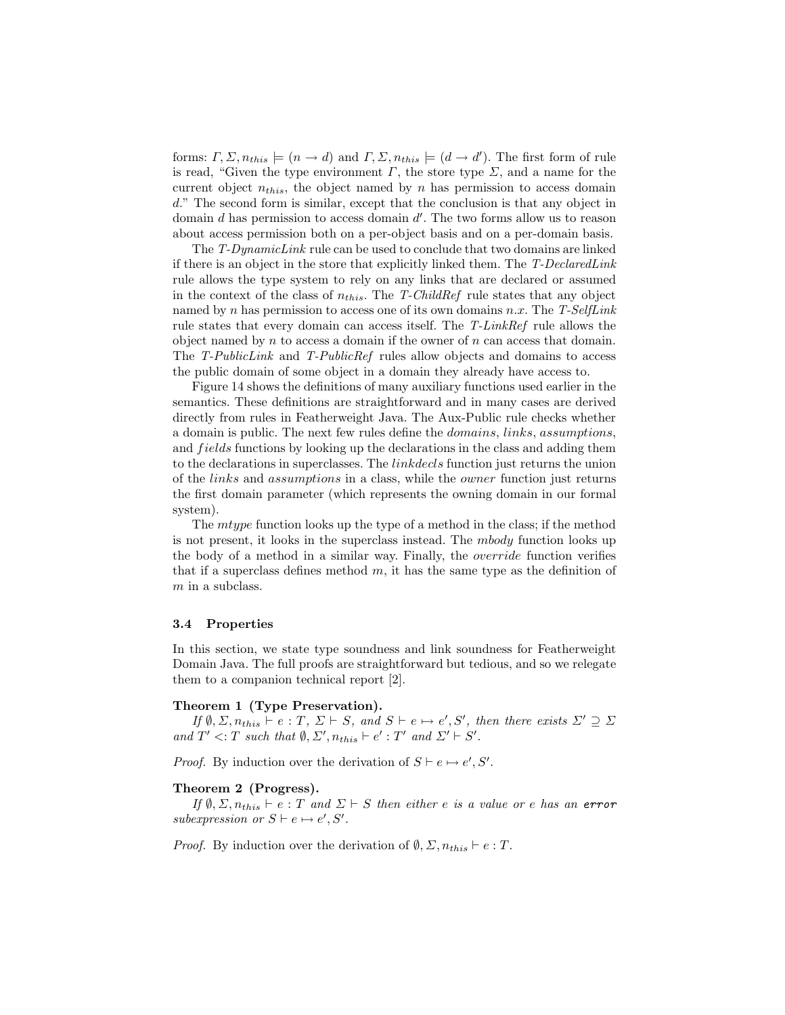forms:  $\Gamma$ ,  $\Sigma$ ,  $n_{this} \models (n \rightarrow d)$  and  $\Gamma$ ,  $\Sigma$ ,  $n_{this} \models (d \rightarrow d')$ . The first form of rule is read, "Given the type environment  $\Gamma$ , the store type  $\Sigma$ , and a name for the current object  $n_{this}$ , the object named by n has permission to access domain d." The second form is similar, except that the conclusion is that any object in domain  $d$  has permission to access domain  $d'$ . The two forms allow us to reason about access permission both on a per-object basis and on a per-domain basis.

The T-DynamicLink rule can be used to conclude that two domains are linked if there is an object in the store that explicitly linked them. The T-DeclaredLink rule allows the type system to rely on any links that are declared or assumed in the context of the class of  $n_{this}$ . The T-ChildRef rule states that any object named by n has permission to access one of its own domains  $n.x$ . The T-SelfLink rule states that every domain can access itself. The T-LinkRef rule allows the object named by n to access a domain if the owner of n can access that domain. The T-PublicLink and T-PublicRef rules allow objects and domains to access the public domain of some object in a domain they already have access to.

Figure 14 shows the definitions of many auxiliary functions used earlier in the semantics. These definitions are straightforward and in many cases are derived directly from rules in Featherweight Java. The Aux-Public rule checks whether a domain is public. The next few rules define the domains, links, assumptions, and *fields* functions by looking up the declarations in the class and adding them to the declarations in superclasses. The linkdecls function just returns the union of the links and assumptions in a class, while the owner function just returns the first domain parameter (which represents the owning domain in our formal system).

The *mtype* function looks up the type of a method in the class; if the method is not present, it looks in the superclass instead. The mbody function looks up the body of a method in a similar way. Finally, the override function verifies that if a superclass defines method  $m$ , it has the same type as the definition of  $m$  in a subclass.

## 3.4 Properties

In this section, we state type soundness and link soundness for Featherweight Domain Java. The full proofs are straightforward but tedious, and so we relegate them to a companion technical report [2].

#### Theorem 1 (Type Preservation).

If  $\emptyset, \Sigma, n_{this} \vdash e : T, \Sigma \vdash S, \text{ and } S \vdash e \mapsto e', S'$ , then there exists  $\Sigma' \supseteq \Sigma$ and  $T' \leq T$  such that  $\emptyset, \Sigma', n_{this} \vdash e' : T'$  and  $\Sigma' \vdash S'$ .

*Proof.* By induction over the derivation of  $S \vdash e \mapsto e', S'$ .

## Theorem 2 (Progress).

If  $\emptyset, \Sigma, n_{this} \vdash e : T$  and  $\Sigma \vdash S$  then either e is a value or e has an error subexpression or  $S \vdash e \mapsto e', S'.$ 

*Proof.* By induction over the derivation of  $\emptyset, \Sigma, n_{this} \vdash e : T$ .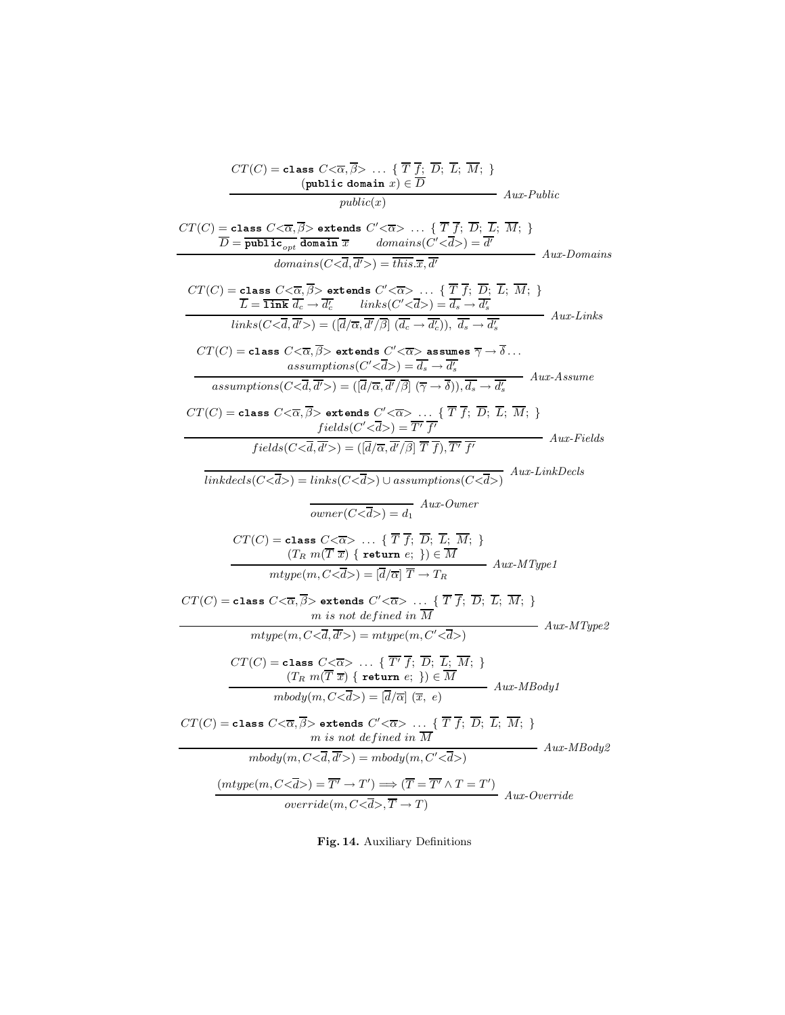

Fig. 14. Auxiliary Definitions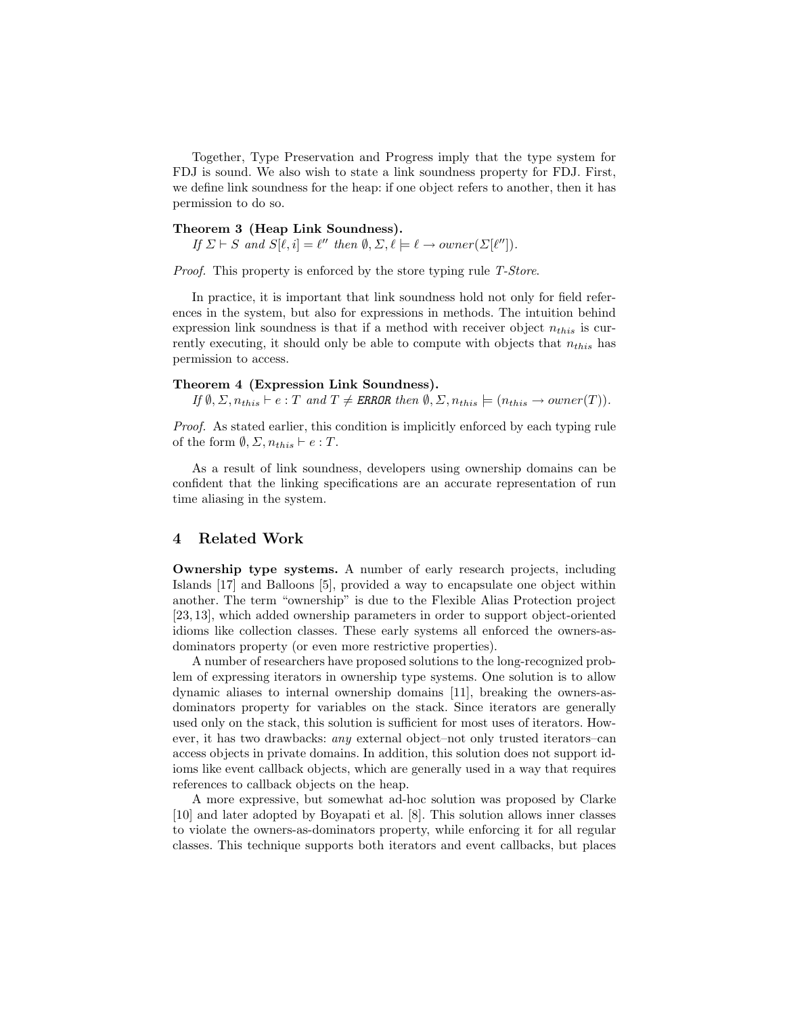Together, Type Preservation and Progress imply that the type system for FDJ is sound. We also wish to state a link soundness property for FDJ. First, we define link soundness for the heap: if one object refers to another, then it has permission to do so.

#### Theorem 3 (Heap Link Soundness).

If  $\Sigma \vdash S$  and  $S[\ell, i] = \ell''$  then  $\emptyset, \Sigma, \ell \models \ell \rightarrow owner(\Sigma[\ell''])$ .

Proof. This property is enforced by the store typing rule T-Store.

In practice, it is important that link soundness hold not only for field references in the system, but also for expressions in methods. The intuition behind expression link soundness is that if a method with receiver object  $n_{this}$  is currently executing, it should only be able to compute with objects that  $n_{this}$  has permission to access.

#### Theorem 4 (Expression Link Soundness).

If  $\emptyset, \Sigma, n_{this} \vdash e : T \text{ and } T \neq \text{ERROR}$  then  $\emptyset, \Sigma, n_{this} \models (n_{this} \rightarrow owner(T)).$ 

Proof. As stated earlier, this condition is implicitly enforced by each typing rule of the form  $\emptyset, \Sigma, n_{this} \vdash e : T$ .

As a result of link soundness, developers using ownership domains can be confident that the linking specifications are an accurate representation of run time aliasing in the system.

# 4 Related Work

Ownership type systems. A number of early research projects, including Islands [17] and Balloons [5], provided a way to encapsulate one object within another. The term "ownership" is due to the Flexible Alias Protection project [23, 13], which added ownership parameters in order to support object-oriented idioms like collection classes. These early systems all enforced the owners-asdominators property (or even more restrictive properties).

A number of researchers have proposed solutions to the long-recognized problem of expressing iterators in ownership type systems. One solution is to allow dynamic aliases to internal ownership domains [11], breaking the owners-asdominators property for variables on the stack. Since iterators are generally used only on the stack, this solution is sufficient for most uses of iterators. However, it has two drawbacks: any external object–not only trusted iterators–can access objects in private domains. In addition, this solution does not support idioms like event callback objects, which are generally used in a way that requires references to callback objects on the heap.

A more expressive, but somewhat ad-hoc solution was proposed by Clarke [10] and later adopted by Boyapati et al. [8]. This solution allows inner classes to violate the owners-as-dominators property, while enforcing it for all regular classes. This technique supports both iterators and event callbacks, but places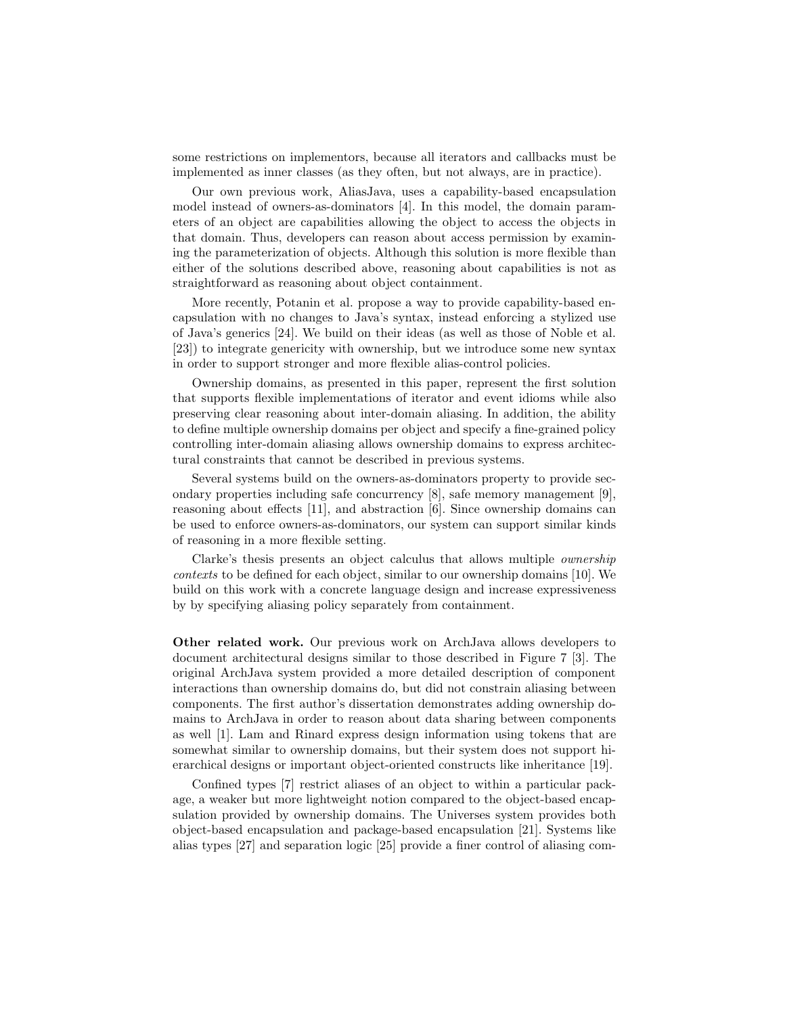some restrictions on implementors, because all iterators and callbacks must be implemented as inner classes (as they often, but not always, are in practice).

Our own previous work, AliasJava, uses a capability-based encapsulation model instead of owners-as-dominators [4]. In this model, the domain parameters of an object are capabilities allowing the object to access the objects in that domain. Thus, developers can reason about access permission by examining the parameterization of objects. Although this solution is more flexible than either of the solutions described above, reasoning about capabilities is not as straightforward as reasoning about object containment.

More recently, Potanin et al. propose a way to provide capability-based encapsulation with no changes to Java's syntax, instead enforcing a stylized use of Java's generics [24]. We build on their ideas (as well as those of Noble et al. [23]) to integrate genericity with ownership, but we introduce some new syntax in order to support stronger and more flexible alias-control policies.

Ownership domains, as presented in this paper, represent the first solution that supports flexible implementations of iterator and event idioms while also preserving clear reasoning about inter-domain aliasing. In addition, the ability to define multiple ownership domains per object and specify a fine-grained policy controlling inter-domain aliasing allows ownership domains to express architectural constraints that cannot be described in previous systems.

Several systems build on the owners-as-dominators property to provide secondary properties including safe concurrency [8], safe memory management [9], reasoning about effects [11], and abstraction [6]. Since ownership domains can be used to enforce owners-as-dominators, our system can support similar kinds of reasoning in a more flexible setting.

Clarke's thesis presents an object calculus that allows multiple ownership contexts to be defined for each object, similar to our ownership domains [10]. We build on this work with a concrete language design and increase expressiveness by by specifying aliasing policy separately from containment.

Other related work. Our previous work on ArchJava allows developers to document architectural designs similar to those described in Figure 7 [3]. The original ArchJava system provided a more detailed description of component interactions than ownership domains do, but did not constrain aliasing between components. The first author's dissertation demonstrates adding ownership domains to ArchJava in order to reason about data sharing between components as well [1]. Lam and Rinard express design information using tokens that are somewhat similar to ownership domains, but their system does not support hierarchical designs or important object-oriented constructs like inheritance [19].

Confined types [7] restrict aliases of an object to within a particular package, a weaker but more lightweight notion compared to the object-based encapsulation provided by ownership domains. The Universes system provides both object-based encapsulation and package-based encapsulation [21]. Systems like alias types [27] and separation logic [25] provide a finer control of aliasing com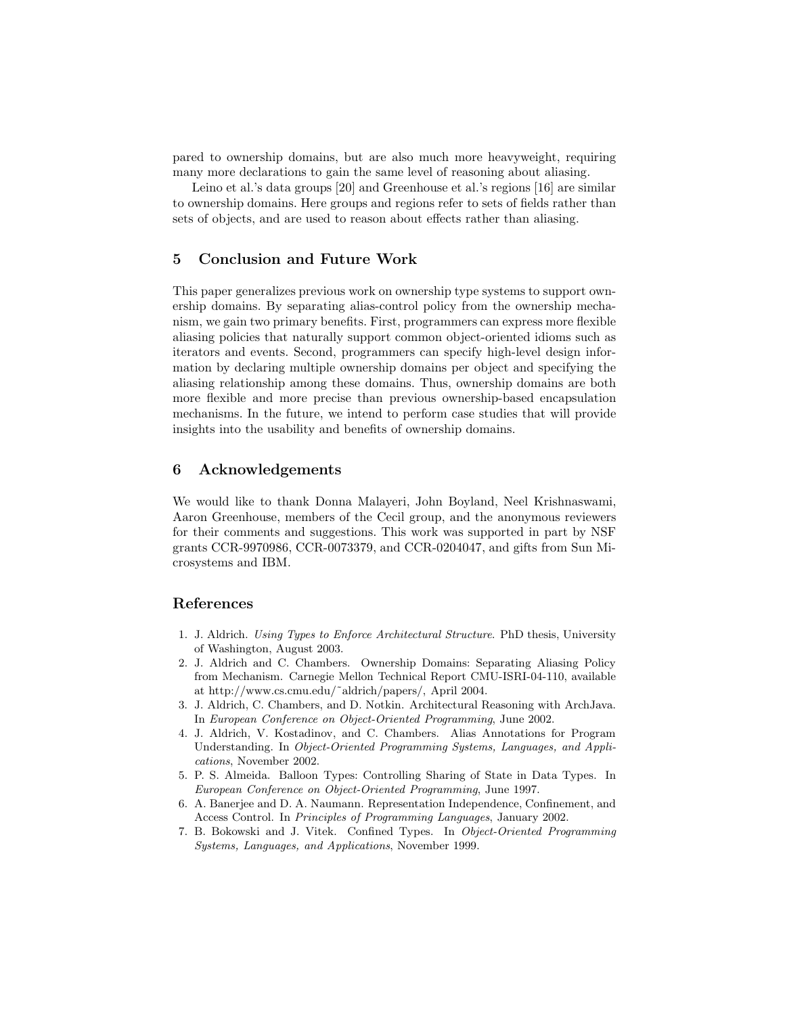pared to ownership domains, but are also much more heavyweight, requiring many more declarations to gain the same level of reasoning about aliasing.

Leino et al.'s data groups [20] and Greenhouse et al.'s regions [16] are similar to ownership domains. Here groups and regions refer to sets of fields rather than sets of objects, and are used to reason about effects rather than aliasing.

# 5 Conclusion and Future Work

This paper generalizes previous work on ownership type systems to support ownership domains. By separating alias-control policy from the ownership mechanism, we gain two primary benefits. First, programmers can express more flexible aliasing policies that naturally support common object-oriented idioms such as iterators and events. Second, programmers can specify high-level design information by declaring multiple ownership domains per object and specifying the aliasing relationship among these domains. Thus, ownership domains are both more flexible and more precise than previous ownership-based encapsulation mechanisms. In the future, we intend to perform case studies that will provide insights into the usability and benefits of ownership domains.

## 6 Acknowledgements

We would like to thank Donna Malayeri, John Boyland, Neel Krishnaswami, Aaron Greenhouse, members of the Cecil group, and the anonymous reviewers for their comments and suggestions. This work was supported in part by NSF grants CCR-9970986, CCR-0073379, and CCR-0204047, and gifts from Sun Microsystems and IBM.

# References

- 1. J. Aldrich. Using Types to Enforce Architectural Structure. PhD thesis, University of Washington, August 2003.
- 2. J. Aldrich and C. Chambers. Ownership Domains: Separating Aliasing Policy from Mechanism. Carnegie Mellon Technical Report CMU-ISRI-04-110, available at http://www.cs.cmu.edu/˜aldrich/papers/, April 2004.
- 3. J. Aldrich, C. Chambers, and D. Notkin. Architectural Reasoning with ArchJava. In European Conference on Object-Oriented Programming, June 2002.
- 4. J. Aldrich, V. Kostadinov, and C. Chambers. Alias Annotations for Program Understanding. In Object-Oriented Programming Systems, Languages, and Applications, November 2002.
- 5. P. S. Almeida. Balloon Types: Controlling Sharing of State in Data Types. In European Conference on Object-Oriented Programming, June 1997.
- 6. A. Banerjee and D. A. Naumann. Representation Independence, Confinement, and Access Control. In Principles of Programming Languages, January 2002.
- 7. B. Bokowski and J. Vitek. Confined Types. In Object-Oriented Programming Systems, Languages, and Applications, November 1999.